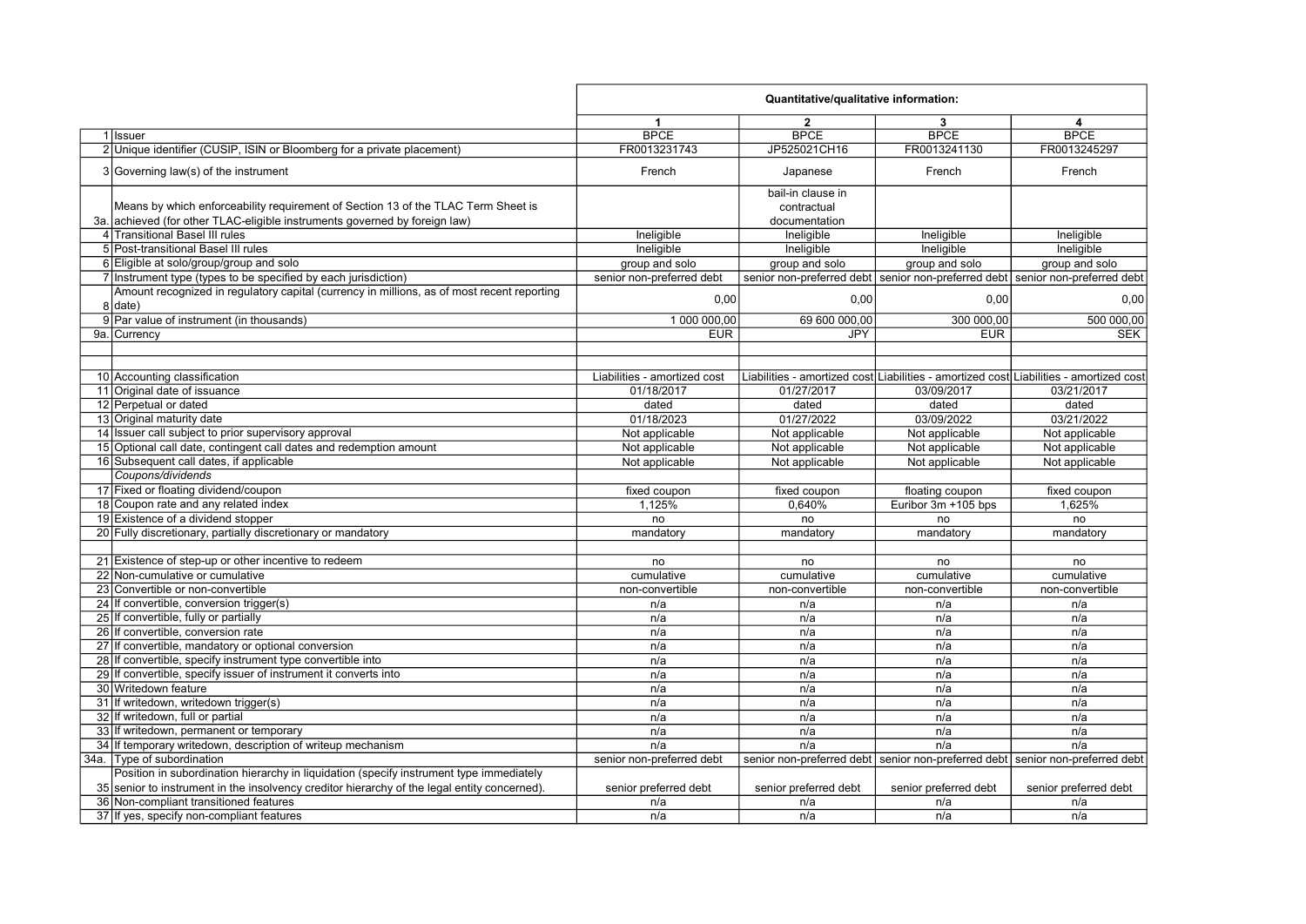|     |                                                                                                       |                              | Quantitative/qualitative information: |                                                                                        |                           |
|-----|-------------------------------------------------------------------------------------------------------|------------------------------|---------------------------------------|----------------------------------------------------------------------------------------|---------------------------|
|     |                                                                                                       | $\mathbf{1}$                 | $\mathbf{2}$                          | 3                                                                                      | 4                         |
|     | 1 Issuer                                                                                              | <b>BPCE</b>                  | <b>BPCE</b>                           | <b>BPCE</b>                                                                            | <b>BPCE</b>               |
|     | 2 Unique identifier (CUSIP, ISIN or Bloomberg for a private placement)                                | FR0013231743                 | JP525021CH16                          | FR0013241130                                                                           | FR0013245297              |
|     | 3 Governing law(s) of the instrument                                                                  | French                       | Japanese                              | French                                                                                 | French                    |
|     |                                                                                                       |                              | bail-in clause in                     |                                                                                        |                           |
|     | Means by which enforceability requirement of Section 13 of the TLAC Term Sheet is                     |                              | contractual                           |                                                                                        |                           |
| 3а. | achieved (for other TLAC-eligible instruments governed by foreign law)                                |                              | documentation                         |                                                                                        |                           |
|     | 4 Transitional Basel III rules                                                                        | Ineligible                   | Ineligible                            | Ineligible                                                                             | Ineligible                |
|     | 5 Post-transitional Basel III rules                                                                   | Ineligible                   | Ineligible                            | Ineligible                                                                             | Ineligible                |
|     | 6 Eligible at solo/group/group and solo                                                               | group and solo               | group and solo                        | group and solo                                                                         | group and solo            |
|     | 7 Instrument type (types to be specified by each jurisdiction)                                        | senior non-preferred debt    |                                       | senior non-preferred debt senior non-preferred debt senior non-preferred debt          |                           |
|     | Amount recognized in regulatory capital (currency in millions, as of most recent reporting<br>8 date) | 0,00                         | 0,00                                  | 0,00                                                                                   | 0,00                      |
|     | 9 Par value of instrument (in thousands)                                                              | 1 000 000,00                 | 69 600 000,00                         | 300 000,00                                                                             | 500 000,00                |
|     | 9a. Currency                                                                                          | <b>EUR</b>                   | <b>JPY</b>                            | <b>EUR</b>                                                                             | <b>SEK</b>                |
|     |                                                                                                       |                              |                                       |                                                                                        |                           |
|     |                                                                                                       |                              |                                       |                                                                                        |                           |
|     | 10 Accounting classification                                                                          | Liabilities - amortized cost |                                       | Liabilities - amortized cost Liabilities - amortized cost Liabilities - amortized cost |                           |
|     | 11 Original date of issuance                                                                          | 01/18/2017                   | 01/27/2017                            | 03/09/2017                                                                             | 03/21/2017                |
|     | 12 Perpetual or dated                                                                                 | dated                        | dated                                 | dated                                                                                  | dated                     |
|     | 13 Original maturity date                                                                             | 01/18/2023                   | 01/27/2022                            | 03/09/2022                                                                             | 03/21/2022                |
|     | 14 Issuer call subject to prior supervisory approval                                                  | Not applicable               | Not applicable                        | Not applicable                                                                         | Not applicable            |
|     | 15 Optional call date, contingent call dates and redemption amount                                    | Not applicable               | Not applicable                        | Not applicable                                                                         | Not applicable            |
|     | 16 Subsequent call dates, if applicable                                                               | Not applicable               | Not applicable                        | Not applicable                                                                         | Not applicable            |
|     | Coupons/dividends                                                                                     |                              |                                       |                                                                                        |                           |
|     | 17 Fixed or floating dividend/coupon                                                                  | fixed coupon                 | fixed coupon                          | floating coupon                                                                        | fixed coupon              |
|     | 18 Coupon rate and any related index                                                                  | 1.125%                       | 0,640%                                | Euribor 3m +105 bps                                                                    | 1.625%                    |
|     | 19 Existence of a dividend stopper                                                                    | no                           | no                                    | no                                                                                     | no                        |
|     | 20 Fully discretionary, partially discretionary or mandatory                                          | mandatory                    | mandatory                             | mandatory                                                                              | mandatory                 |
|     |                                                                                                       |                              |                                       |                                                                                        |                           |
|     | 21 Existence of step-up or other incentive to redeem                                                  | no                           | no                                    | no                                                                                     | no                        |
|     | 22 Non-cumulative or cumulative                                                                       | cumulative                   | cumulative                            | cumulative                                                                             | cumulative                |
|     | 23 Convertible or non-convertible                                                                     | non-convertible              | non-convertible                       | non-convertible                                                                        | non-convertible           |
|     | 24 If convertible, conversion trigger(s)                                                              | n/a                          | n/a                                   | n/a                                                                                    | n/a                       |
|     | 25 If convertible, fully or partially                                                                 | n/a                          | n/a                                   | n/a                                                                                    | n/a                       |
|     | 26 If convertible, conversion rate                                                                    | n/a                          | n/a                                   | n/a                                                                                    | n/a                       |
|     | 27 If convertible, mandatory or optional conversion                                                   | n/a                          | n/a                                   | n/a                                                                                    | n/a                       |
|     | 28 If convertible, specify instrument type convertible into                                           | n/a                          | n/a                                   | n/a                                                                                    | n/a                       |
|     | 29 If convertible, specify issuer of instrument it converts into                                      | n/a                          | n/a                                   | n/a                                                                                    | n/a                       |
|     | 30 Writedown feature                                                                                  | n/a                          | n/a                                   | n/a                                                                                    | n/a                       |
|     | 31 If writedown, writedown trigger(s)                                                                 | n/a                          | n/a                                   | n/a                                                                                    | n/a                       |
|     | 32 If writedown, full or partial                                                                      | n/a                          | n/a                                   | n/a                                                                                    | n/a                       |
|     | 33 If writedown, permanent or temporary                                                               | n/a                          | n/a                                   | n/a                                                                                    | n/a                       |
|     | 34 If temporary writedown, description of writeup mechanism                                           | n/a                          | n/a                                   | n/a                                                                                    | n/a                       |
|     | 34a. Type of subordination                                                                            | senior non-preferred debt    |                                       | senior non-preferred debt senior non-preferred debt                                    | senior non-preferred debt |
|     | Position in subordination hierarchy in liquidation (specify instrument type immediately               |                              |                                       |                                                                                        |                           |
|     | 35 senior to instrument in the insolvency creditor hierarchy of the legal entity concerned).          | senior preferred debt        | senior preferred debt                 | senior preferred debt                                                                  | senior preferred debt     |
|     | 36 Non-compliant transitioned features                                                                | n/a                          | n/a                                   | n/a                                                                                    | n/a                       |
|     | 37 If yes, specify non-compliant features                                                             | n/a                          | n/a                                   | n/a                                                                                    | n/a                       |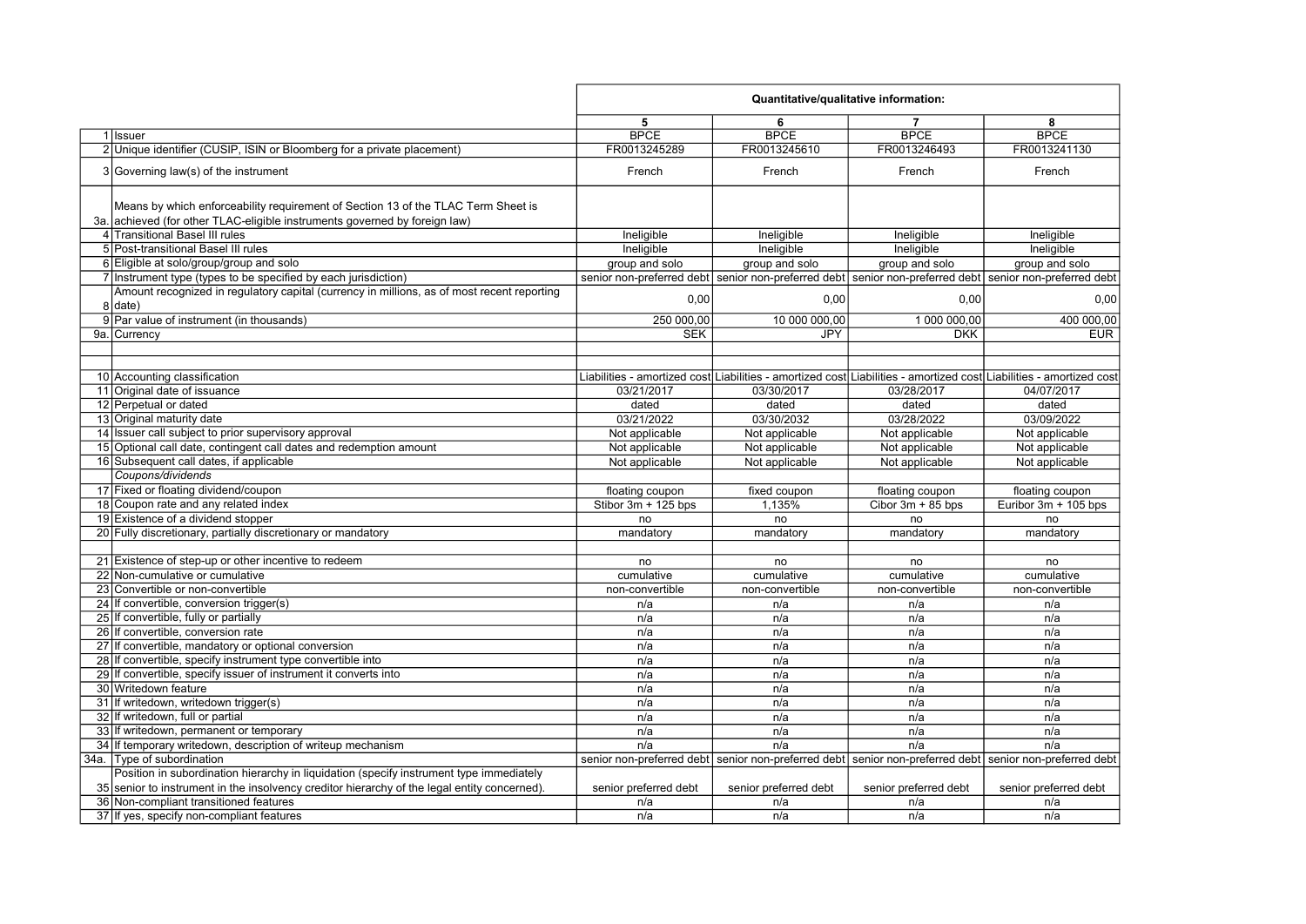|                                                                                                         | Quantitative/qualitative information: |                       |                                                                                                                     |                       |
|---------------------------------------------------------------------------------------------------------|---------------------------------------|-----------------------|---------------------------------------------------------------------------------------------------------------------|-----------------------|
|                                                                                                         | 5                                     | 6                     | 7                                                                                                                   | 8                     |
| 1 Issuer                                                                                                | <b>BPCE</b>                           | <b>BPCE</b>           | <b>BPCE</b>                                                                                                         | <b>BPCE</b>           |
| 2 Unique identifier (CUSIP, ISIN or Bloomberg for a private placement)                                  | FR0013245289                          | FR0013245610          | FR0013246493                                                                                                        | FR0013241130          |
| 3 Governing law(s) of the instrument                                                                    | French                                | French                | French                                                                                                              | French                |
|                                                                                                         |                                       |                       |                                                                                                                     |                       |
| Means by which enforceability requirement of Section 13 of the TLAC Term Sheet is                       |                                       |                       |                                                                                                                     |                       |
| 3a. achieved (for other TLAC-eligible instruments governed by foreign law)                              |                                       |                       |                                                                                                                     |                       |
| 4 Transitional Basel III rules                                                                          | Ineligible                            | Ineligible            | Ineligible                                                                                                          | Ineligible            |
| 5 Post-transitional Basel III rules                                                                     | Ineligible                            | Ineligible            | Ineligible                                                                                                          | Ineligible            |
| 6 Eligible at solo/group/group and solo                                                                 | group and solo                        | group and solo        | group and solo                                                                                                      | group and solo        |
| 7 Instrument type (types to be specified by each jurisdiction)                                          |                                       |                       | senior non-preferred debt senior non-preferred debt senior non-preferred debt senior non-preferred debt             |                       |
| Amount recognized in regulatory capital (currency in millions, as of most recent reporting<br>$8$ date) | 0,00                                  | 0,00                  | 0,00                                                                                                                | 0,00                  |
| 9 Par value of instrument (in thousands)                                                                | 250 000,00                            | 10 000 000,00         | 1 000 000,00                                                                                                        | 400 000,00            |
| 9a. Currency                                                                                            | <b>SEK</b>                            | JPY                   | <b>DKK</b>                                                                                                          | <b>EUR</b>            |
|                                                                                                         |                                       |                       |                                                                                                                     |                       |
|                                                                                                         |                                       |                       |                                                                                                                     |                       |
| 10 Accounting classification                                                                            |                                       |                       | Liabilities - amortized cost Liabilities - amortized cost Liabilities - amortized cost Liabilities - amortized cost |                       |
| 11 Original date of issuance                                                                            | 03/21/2017                            | 03/30/2017            | 03/28/2017                                                                                                          | 04/07/2017            |
| 12 Perpetual or dated                                                                                   | dated                                 | dated                 | dated                                                                                                               | dated                 |
| 13 Original maturity date                                                                               | 03/21/2022                            | 03/30/2032            | 03/28/2022                                                                                                          | 03/09/2022            |
| 14 Issuer call subject to prior supervisory approval                                                    | Not applicable                        | Not applicable        | Not applicable                                                                                                      | Not applicable        |
| 15 Optional call date, contingent call dates and redemption amount                                      | Not applicable                        | Not applicable        | Not applicable                                                                                                      | Not applicable        |
| 16 Subsequent call dates, if applicable                                                                 | Not applicable                        | Not applicable        | Not applicable                                                                                                      | Not applicable        |
| Coupons/dividends                                                                                       |                                       |                       |                                                                                                                     |                       |
| 17 Fixed or floating dividend/coupon                                                                    | floating coupon                       | fixed coupon          | floating coupon                                                                                                     | floating coupon       |
| 18 Coupon rate and any related index                                                                    | Stibor 3m + 125 bps                   | 1,135%                | Cibor $3m + 85$ bps                                                                                                 | Euribor 3m + 105 bps  |
| 19 Existence of a dividend stopper                                                                      | no                                    | no                    | no                                                                                                                  | no                    |
| 20 Fully discretionary, partially discretionary or mandatory                                            | mandatory                             | mandatory             | mandatory                                                                                                           | mandatory             |
|                                                                                                         |                                       |                       |                                                                                                                     |                       |
| 21 Existence of step-up or other incentive to redeem                                                    | no                                    | no                    | no                                                                                                                  | no                    |
| 22 Non-cumulative or cumulative                                                                         | cumulative                            | cumulative            | cumulative                                                                                                          | cumulative            |
| 23 Convertible or non-convertible                                                                       | non-convertible                       | non-convertible       | non-convertible                                                                                                     | non-convertible       |
| 24 If convertible, conversion trigger(s)                                                                | n/a                                   | n/a                   | n/a                                                                                                                 | n/a                   |
| 25 If convertible, fully or partially                                                                   | n/a                                   | n/a                   | n/a                                                                                                                 | n/a                   |
| 26 If convertible, conversion rate                                                                      | n/a                                   | n/a                   | n/a                                                                                                                 | n/a                   |
| 27 If convertible, mandatory or optional conversion                                                     | n/a                                   | n/a                   | n/a                                                                                                                 | n/a                   |
| 28 If convertible, specify instrument type convertible into                                             | n/a                                   | n/a                   | n/a                                                                                                                 | n/a                   |
| 29 If convertible, specify issuer of instrument it converts into                                        | n/a                                   | n/a                   | n/a                                                                                                                 | n/a                   |
| 30 Writedown feature                                                                                    | n/a                                   | n/a                   | n/a                                                                                                                 | n/a                   |
| 31 If writedown, writedown trigger(s)                                                                   | n/a                                   | n/a                   | n/a                                                                                                                 | n/a                   |
| 32 If writedown, full or partial                                                                        | n/a                                   | n/a                   | n/a                                                                                                                 | n/a                   |
| 33 If writedown, permanent or temporary                                                                 | n/a                                   | n/a                   | n/a                                                                                                                 | n/a                   |
| 34 If temporary writedown, description of writeup mechanism                                             | n/a                                   | n/a                   | n/a                                                                                                                 | n/a                   |
| 34a. Type of subordination                                                                              |                                       |                       | senior non-preferred debt senior non-preferred debt senior non-preferred debt senior non-preferred debt             |                       |
| Position in subordination hierarchy in liquidation (specify instrument type immediately                 |                                       |                       |                                                                                                                     |                       |
| 35 senior to instrument in the insolvency creditor hierarchy of the legal entity concerned).            | senior preferred debt                 | senior preferred debt | senior preferred debt                                                                                               | senior preferred debt |
| 36 Non-compliant transitioned features                                                                  | n/a                                   | n/a                   | n/a                                                                                                                 | n/a                   |
| 37 If yes, specify non-compliant features                                                               | n/a                                   | n/a                   | n/a                                                                                                                 | n/a                   |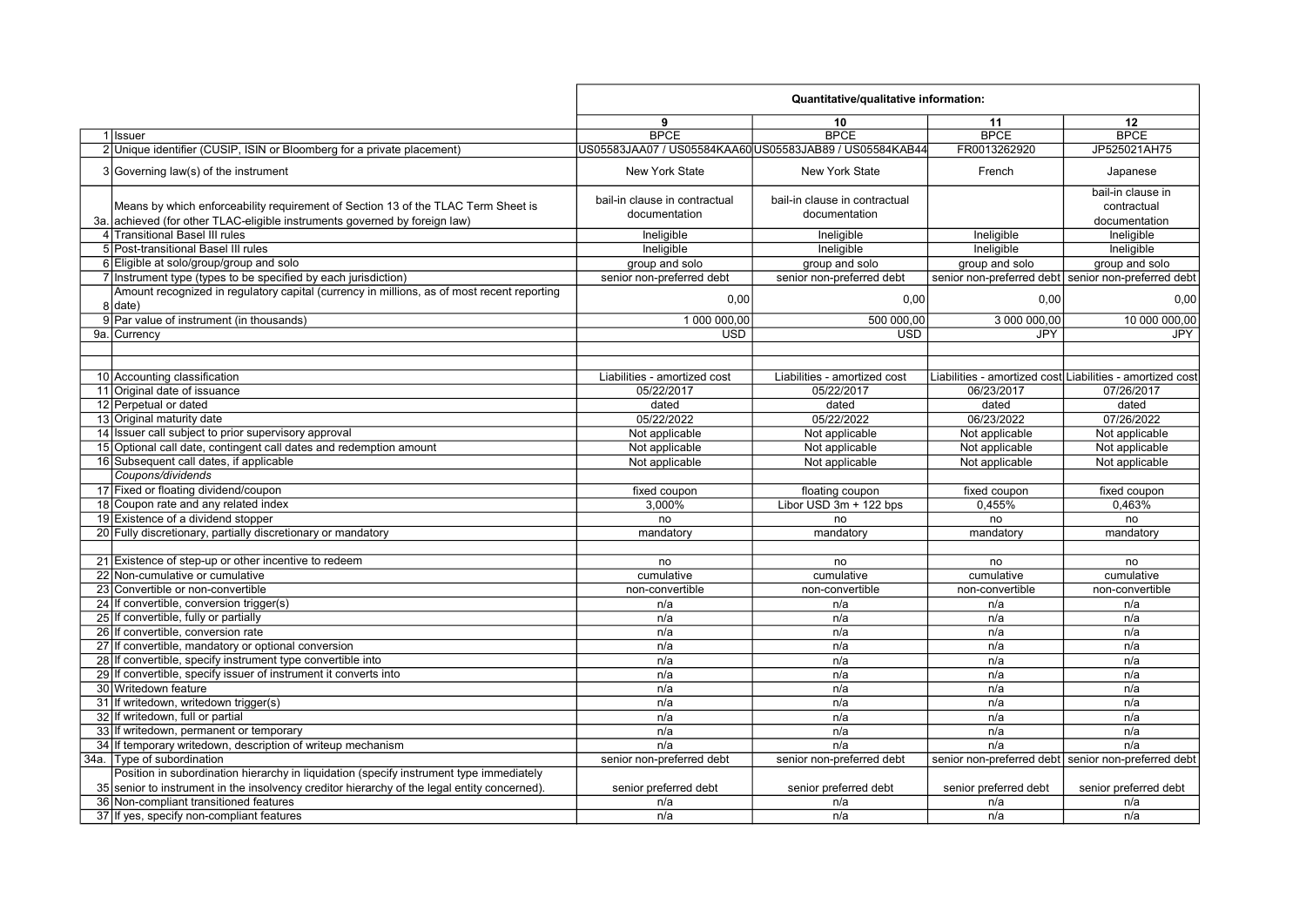|     |                                                                                                                                                              | Quantitative/qualitative information:          |                                                         |                                                           |                                                     |
|-----|--------------------------------------------------------------------------------------------------------------------------------------------------------------|------------------------------------------------|---------------------------------------------------------|-----------------------------------------------------------|-----------------------------------------------------|
|     |                                                                                                                                                              | 9                                              | 10                                                      | 11                                                        | 12                                                  |
|     | 1 Issuer                                                                                                                                                     | <b>BPCE</b>                                    | <b>BPCE</b>                                             | <b>BPCE</b>                                               | <b>BPCE</b>                                         |
|     | 2 Unique identifier (CUSIP, ISIN or Bloomberg for a private placement)                                                                                       |                                                | US05583JAA07 / US05584KAA60 US05583JAB89 / US05584KAB44 | FR0013262920                                              | JP525021AH75                                        |
|     | 3 Governing law(s) of the instrument                                                                                                                         | <b>New York State</b>                          | <b>New York State</b>                                   | French                                                    | Japanese                                            |
|     | Means by which enforceability requirement of Section 13 of the TLAC Term Sheet is<br>achieved (for other TLAC-eligible instruments governed by foreign law)  | bail-in clause in contractual<br>documentation | bail-in clause in contractual<br>documentation          |                                                           | bail-in clause in<br>contractual<br>documentation   |
| За. | 4 Transitional Basel III rules                                                                                                                               |                                                |                                                         |                                                           |                                                     |
|     | 5 Post-transitional Basel III rules                                                                                                                          | Ineligible                                     | Ineligible                                              | Ineligible                                                | Ineligible                                          |
|     | 6 Eligible at solo/group/group and solo                                                                                                                      | Ineligible                                     | Ineligible                                              | Ineligible                                                | Ineligible                                          |
|     |                                                                                                                                                              | group and solo                                 | group and solo                                          | group and solo                                            | group and solo                                      |
|     | 7 Instrument type (types to be specified by each jurisdiction)<br>Amount recognized in regulatory capital (currency in millions, as of most recent reporting | senior non-preferred debt                      | senior non-preferred debt                               |                                                           | senior non-preferred debt senior non-preferred debt |
|     | 8 date)                                                                                                                                                      | 0,00                                           | 0,00                                                    | 0,00                                                      | 0,00                                                |
|     | 9 Par value of instrument (in thousands)                                                                                                                     | 1 000 000,00                                   | 500 000,00                                              | 3 000 000,00                                              | 10 000 000,00                                       |
|     | 9a. Currency                                                                                                                                                 | <b>USD</b>                                     | <b>USD</b>                                              | <b>JPY</b>                                                | <b>JPY</b>                                          |
|     |                                                                                                                                                              |                                                |                                                         |                                                           |                                                     |
|     |                                                                                                                                                              |                                                |                                                         |                                                           |                                                     |
|     | 10 Accounting classification                                                                                                                                 | Liabilities - amortized cost                   | Liabilities - amortized cost                            | Liabilities - amortized cost Liabilities - amortized cost |                                                     |
|     | 11 Original date of issuance                                                                                                                                 | 05/22/2017                                     | 05/22/2017                                              | 06/23/2017                                                | 07/26/2017                                          |
|     | 12 Perpetual or dated                                                                                                                                        | dated                                          | dated                                                   | dated                                                     | dated                                               |
|     | 13 Original maturity date                                                                                                                                    | 05/22/2022                                     | 05/22/2022                                              | 06/23/2022                                                | 07/26/2022                                          |
|     | 14 Issuer call subject to prior supervisory approval                                                                                                         | Not applicable                                 | Not applicable                                          | Not applicable                                            | Not applicable                                      |
|     | 15 Optional call date, contingent call dates and redemption amount                                                                                           | Not applicable                                 | Not applicable                                          | Not applicable                                            | Not applicable                                      |
|     | 16 Subsequent call dates, if applicable                                                                                                                      | Not applicable                                 | Not applicable                                          | Not applicable                                            | Not applicable                                      |
|     | Coupons/dividends                                                                                                                                            |                                                |                                                         |                                                           |                                                     |
|     | 17 Fixed or floating dividend/coupon                                                                                                                         | fixed coupon                                   | floating coupon                                         | fixed coupon                                              | fixed coupon                                        |
|     | 18 Coupon rate and any related index                                                                                                                         | 3,000%                                         | Libor USD 3m + 122 bps                                  | 0,455%                                                    | 0,463%                                              |
|     | 19 Existence of a dividend stopper                                                                                                                           | no                                             | no                                                      | no                                                        | no                                                  |
|     | 20 Fully discretionary, partially discretionary or mandatory                                                                                                 | mandatory                                      | mandatory                                               | mandatory                                                 | mandatory                                           |
|     |                                                                                                                                                              |                                                |                                                         |                                                           |                                                     |
|     | 21 Existence of step-up or other incentive to redeem                                                                                                         | no                                             | no                                                      | no                                                        | no                                                  |
|     | 22 Non-cumulative or cumulative                                                                                                                              | cumulative                                     | cumulative                                              | cumulative                                                | cumulative                                          |
|     | 23 Convertible or non-convertible                                                                                                                            | non-convertible                                | non-convertible                                         | non-convertible                                           | non-convertible                                     |
|     | 24 If convertible, conversion trigger(s)                                                                                                                     | n/a                                            | n/a                                                     | n/a                                                       | n/a                                                 |
|     | 25 If convertible, fully or partially                                                                                                                        | n/a                                            | n/a                                                     | n/a                                                       | n/a                                                 |
|     | 26 If convertible, conversion rate                                                                                                                           | n/a                                            | n/a                                                     | n/a                                                       | n/a                                                 |
|     | 27 If convertible, mandatory or optional conversion                                                                                                          | n/a                                            | n/a                                                     | n/a                                                       | n/a                                                 |
|     | 28 If convertible, specify instrument type convertible into                                                                                                  | n/a                                            | n/a                                                     | n/a                                                       | n/a                                                 |
|     | 29 If convertible, specify issuer of instrument it converts into                                                                                             | n/a                                            | n/a                                                     | n/a                                                       | n/a                                                 |
|     | 30 Writedown feature                                                                                                                                         | n/a                                            | n/a                                                     | n/a                                                       | n/a                                                 |
|     | 31 If writedown, writedown trigger(s)                                                                                                                        | n/a                                            | n/a                                                     | n/a                                                       | n/a                                                 |
|     | 32 If writedown, full or partial                                                                                                                             | n/a                                            | n/a                                                     | n/a                                                       | n/a                                                 |
|     | 33 If writedown, permanent or temporary                                                                                                                      | n/a                                            | n/a                                                     | n/a                                                       | n/a                                                 |
|     | 34 If temporary writedown, description of writeup mechanism                                                                                                  | n/a                                            | n/a                                                     | n/a                                                       | n/a                                                 |
|     | 34a. Type of subordination                                                                                                                                   | senior non-preferred debt                      | senior non-preferred debt                               |                                                           | senior non-preferred debt senior non-preferred debt |
|     | Position in subordination hierarchy in liquidation (specify instrument type immediately                                                                      |                                                |                                                         |                                                           |                                                     |
|     | 35 senior to instrument in the insolvency creditor hierarchy of the legal entity concerned).                                                                 | senior preferred debt                          | senior preferred debt                                   | senior preferred debt                                     | senior preferred debt                               |
|     | 36 Non-compliant transitioned features                                                                                                                       | n/a                                            | n/a                                                     | n/a                                                       | n/a                                                 |
|     | 37 If yes, specify non-compliant features                                                                                                                    | n/a                                            | n/a                                                     | n/a                                                       | n/a                                                 |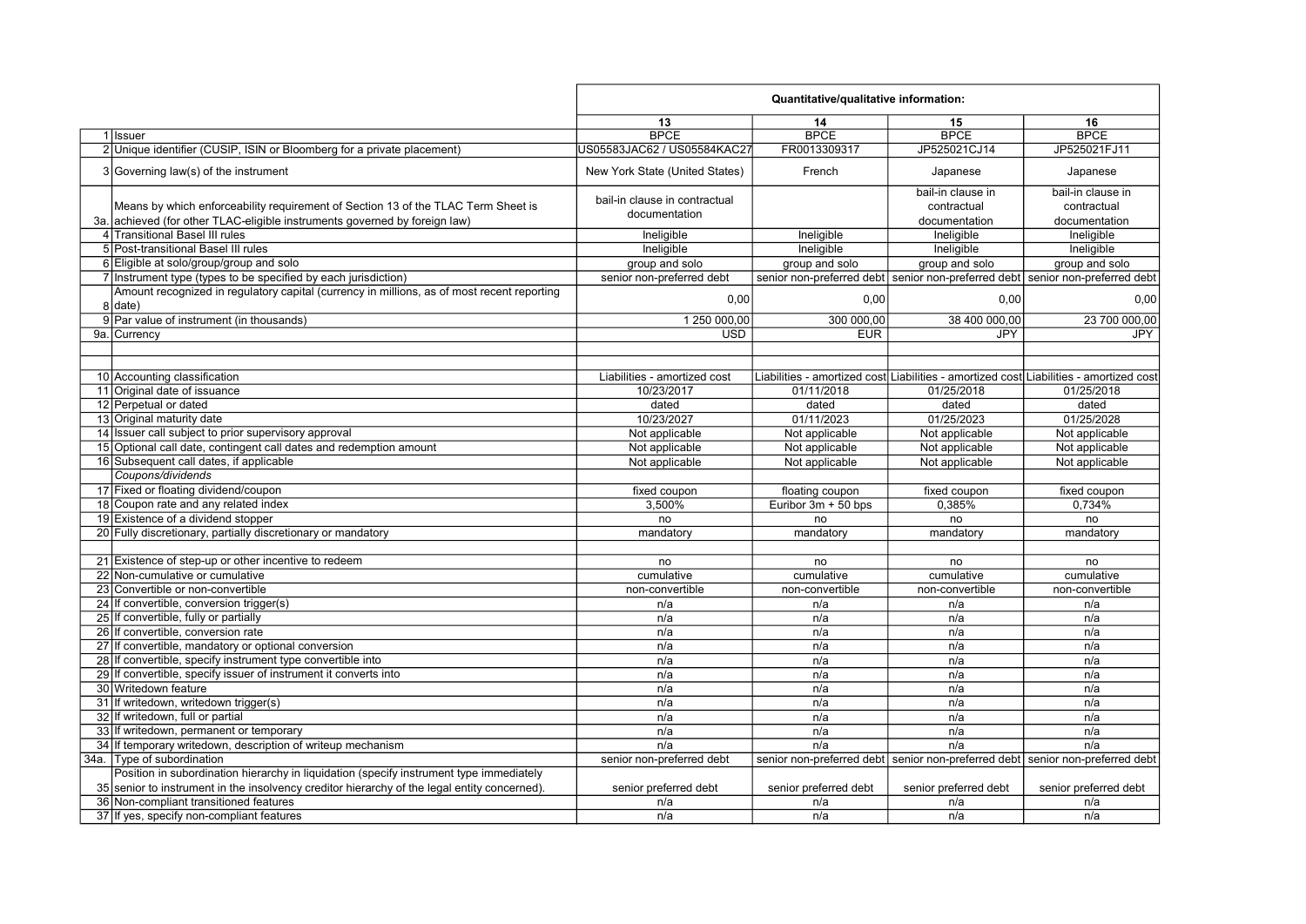|                                                                                                         | Quantitative/qualitative information: |                       |                                                                                        |                       |
|---------------------------------------------------------------------------------------------------------|---------------------------------------|-----------------------|----------------------------------------------------------------------------------------|-----------------------|
|                                                                                                         | 13                                    | 14                    | 15                                                                                     | 16                    |
| 1 Issuer                                                                                                | <b>BPCE</b>                           | <b>BPCE</b>           | <b>BPCE</b>                                                                            | <b>BPCE</b>           |
| 2 Unique identifier (CUSIP, ISIN or Bloomberg for a private placement)                                  | US05583JAC62 / US05584KAC27           | FR0013309317          | JP525021CJ14                                                                           | JP525021FJ11          |
| $3 Governing law(s)$ of the instrument                                                                  | New York State (United States)        | French                | Japanese                                                                               | Japanese              |
|                                                                                                         | bail-in clause in contractual         |                       | bail-in clause in                                                                      | bail-in clause in     |
| Means by which enforceability requirement of Section 13 of the TLAC Term Sheet is                       | documentation                         |                       | contractual                                                                            | contractual           |
| 3a. achieved (for other TLAC-eligible instruments governed by foreign law)                              |                                       |                       | documentation                                                                          | documentation         |
| 4 Transitional Basel III rules                                                                          | Ineligible                            | Ineligible            | Ineligible                                                                             | Ineligible            |
| 5 Post-transitional Basel III rules                                                                     | Ineligible                            | Ineligible            | Ineligible                                                                             | Ineligible            |
| 6 Eligible at solo/group/group and solo                                                                 | group and solo                        | group and solo        | group and solo                                                                         | group and solo        |
| 7 Instrument type (types to be specified by each jurisdiction)                                          | senior non-preferred debt             |                       | senior non-preferred debt senior non-preferred debt senior non-preferred debt          |                       |
| Amount recognized in regulatory capital (currency in millions, as of most recent reporting<br>$8$ date) | 0,00                                  | 0,00                  | 0,00                                                                                   | 0,00                  |
| 9 Par value of instrument (in thousands)                                                                | 1 250 000,00                          | 300 000,00            | 38 400 000,00                                                                          | 23 700 000,00         |
| 9a. Currency                                                                                            | <b>USD</b>                            | <b>EUR</b>            | <b>JPY</b>                                                                             | <b>JPY</b>            |
|                                                                                                         |                                       |                       |                                                                                        |                       |
|                                                                                                         |                                       |                       |                                                                                        |                       |
| 10 Accounting classification                                                                            | Liabilities - amortized cost          |                       | Liabilities - amortized cost Liabilities - amortized cost Liabilities - amortized cost |                       |
| 11 Original date of issuance                                                                            | 10/23/2017                            | 01/11/2018            | 01/25/2018                                                                             | 01/25/2018            |
| 12 Perpetual or dated                                                                                   | dated                                 | dated                 | dated                                                                                  | dated                 |
| 13 Original maturity date                                                                               | 10/23/2027                            | 01/11/2023            | 01/25/2023                                                                             | 01/25/2028            |
| 14 Issuer call subject to prior supervisory approval                                                    | Not applicable                        | Not applicable        | Not applicable                                                                         | Not applicable        |
| 15 Optional call date, contingent call dates and redemption amount                                      | Not applicable                        | Not applicable        | Not applicable                                                                         | Not applicable        |
| 16 Subsequent call dates, if applicable                                                                 | Not applicable                        | Not applicable        | Not applicable                                                                         | Not applicable        |
| Coupons/dividends                                                                                       |                                       |                       |                                                                                        |                       |
| 17 Fixed or floating dividend/coupon                                                                    | fixed coupon                          | floating coupon       | fixed coupon                                                                           | fixed coupon          |
| 18 Coupon rate and any related index                                                                    | 3,500%                                | Euribor 3m + 50 bps   | 0.385%                                                                                 | 0,734%                |
| 19 Existence of a dividend stopper                                                                      | no                                    | no                    | no                                                                                     | no                    |
| 20 Fully discretionary, partially discretionary or mandatory                                            | mandatory                             | mandatory             | mandatory                                                                              | mandatory             |
|                                                                                                         |                                       |                       |                                                                                        |                       |
| 21 Existence of step-up or other incentive to redeem                                                    | no                                    | no                    | no                                                                                     | no                    |
| 22 Non-cumulative or cumulative                                                                         | cumulative                            | cumulative            | cumulative                                                                             | cumulative            |
| 23 Convertible or non-convertible                                                                       | non-convertible                       | non-convertible       | non-convertible                                                                        | non-convertible       |
| 24 If convertible, conversion trigger(s)                                                                | n/a                                   | n/a                   | n/a                                                                                    | n/a                   |
| 25 If convertible, fully or partially                                                                   | n/a                                   | n/a                   | n/a                                                                                    | n/a                   |
| 26 If convertible, conversion rate                                                                      | n/a                                   | n/a                   | n/a                                                                                    | n/a                   |
| 27 If convertible, mandatory or optional conversion                                                     | n/a                                   | n/a                   | n/a                                                                                    | n/a                   |
| 28 If convertible, specify instrument type convertible into                                             | n/a                                   | n/a                   | n/a                                                                                    | n/a                   |
| 29 If convertible, specify issuer of instrument it converts into                                        | n/a                                   | n/a                   | n/a                                                                                    | n/a                   |
| 30 Writedown feature                                                                                    | n/a                                   | n/a                   | n/a                                                                                    | n/a                   |
| 31 If writedown, writedown trigger(s)                                                                   | n/a                                   | n/a                   | n/a                                                                                    | n/a                   |
| 32 If writedown, full or partial                                                                        | n/a                                   | n/a                   | n/a                                                                                    | n/a                   |
| 33 If writedown, permanent or temporary                                                                 | n/a                                   | n/a                   | n/a                                                                                    | n/a                   |
| 34 If temporary writedown, description of writeup mechanism                                             | n/a                                   | n/a                   | n/a                                                                                    | n/a                   |
| 34a. Type of subordination                                                                              | senior non-preferred debt             |                       | senior non-preferred debt senior non-preferred debt senior non-preferred debt          |                       |
| Position in subordination hierarchy in liquidation (specify instrument type immediately                 |                                       |                       |                                                                                        |                       |
| 35 senior to instrument in the insolvency creditor hierarchy of the legal entity concerned).            | senior preferred debt                 | senior preferred debt | senior preferred debt                                                                  | senior preferred debt |
| 36 Non-compliant transitioned features                                                                  | n/a                                   | n/a                   | n/a                                                                                    | n/a                   |
| 37 If yes, specify non-compliant features                                                               | n/a                                   | n/a                   | n/a                                                                                    | n/a                   |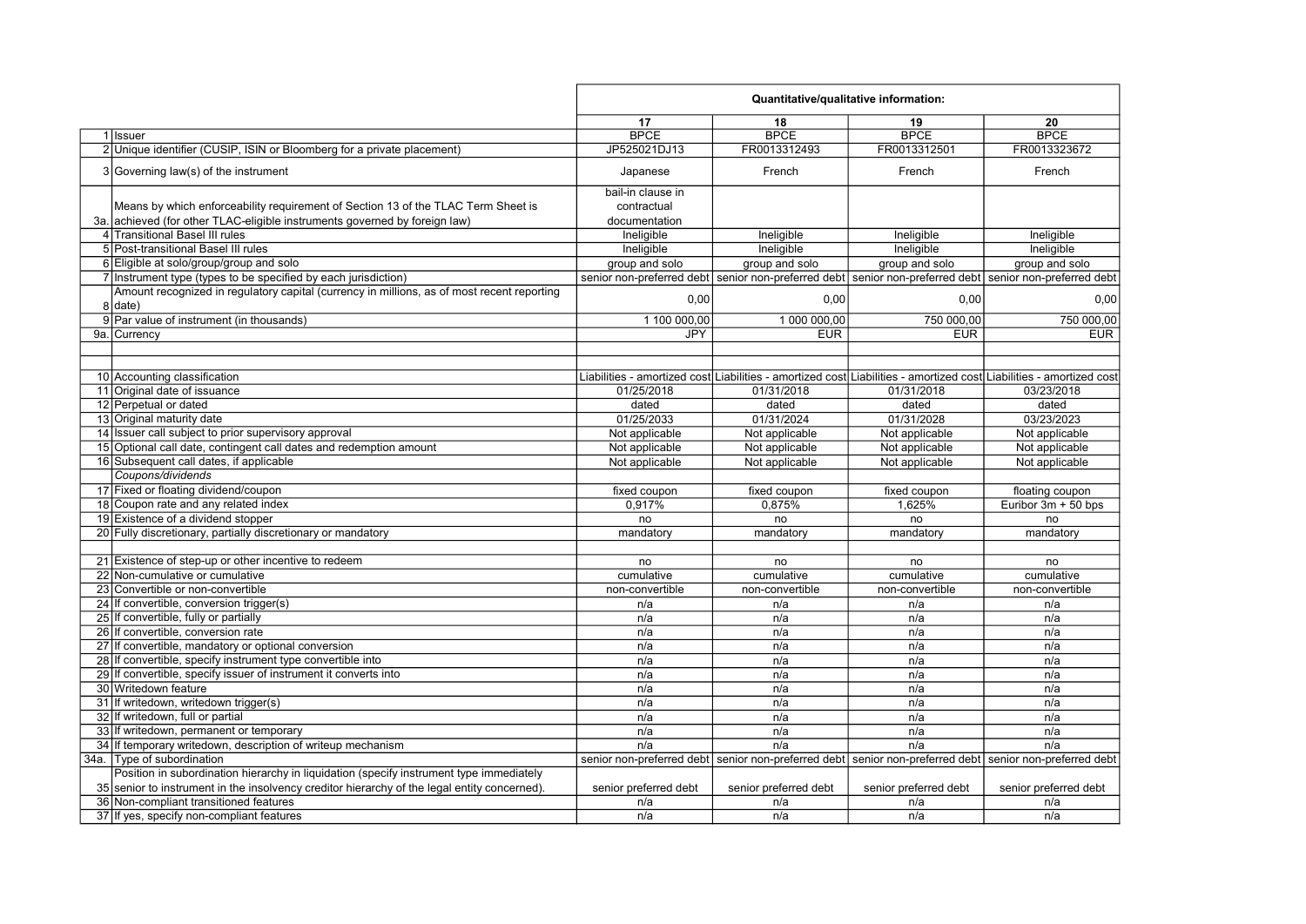|                                                                                              | Quantitative/qualitative information: |                       |                                                                                                                     |                       |
|----------------------------------------------------------------------------------------------|---------------------------------------|-----------------------|---------------------------------------------------------------------------------------------------------------------|-----------------------|
|                                                                                              | 17                                    | 18                    | 19                                                                                                                  | 20                    |
| 1 Issuer                                                                                     | <b>BPCE</b>                           | <b>BPCE</b>           | <b>BPCE</b>                                                                                                         | <b>BPCE</b>           |
| 2 Unique identifier (CUSIP, ISIN or Bloomberg for a private placement)                       | JP525021DJ13                          | FR0013312493          | FR0013312501                                                                                                        | FR0013323672          |
| 3 Governing law(s) of the instrument                                                         | Japanese                              | French                | French                                                                                                              | French                |
|                                                                                              | bail-in clause in                     |                       |                                                                                                                     |                       |
| Means by which enforceability requirement of Section 13 of the TLAC Term Sheet is            | contractual                           |                       |                                                                                                                     |                       |
| 3a. achieved (for other TLAC-eligible instruments governed by foreign law)                   | documentation                         |                       |                                                                                                                     |                       |
| 4 Transitional Basel III rules                                                               | Ineligible                            | Ineligible            | Ineligible                                                                                                          | Ineligible            |
| 5 Post-transitional Basel III rules                                                          | Ineligible                            | Ineligible            | Ineligible                                                                                                          | Ineligible            |
| 6 Eligible at solo/group/group and solo                                                      | group and solo                        | group and solo        | group and solo                                                                                                      | group and solo        |
| 7 Instrument type (types to be specified by each jurisdiction)                               |                                       |                       | senior non-preferred debt senior non-preferred debt senior non-preferred debt senior non-preferred debt             |                       |
| Amount recognized in regulatory capital (currency in millions, as of most recent reporting   |                                       |                       |                                                                                                                     |                       |
| $8$ date)                                                                                    | 0,00                                  | 0,00                  | 0,00                                                                                                                | 0,00                  |
| 9 Par value of instrument (in thousands)                                                     | 1 100 000,00                          | 1 000 000,00          | 750 000,00                                                                                                          | 750 000,00            |
| 9a. Currency                                                                                 | JPY                                   | <b>EUR</b>            | <b>EUR</b>                                                                                                          | <b>EUR</b>            |
|                                                                                              |                                       |                       |                                                                                                                     |                       |
|                                                                                              |                                       |                       |                                                                                                                     |                       |
| 10 Accounting classification                                                                 |                                       |                       | Liabilities - amortized cost Liabilities - amortized cost Liabilities - amortized cost Liabilities - amortized cost |                       |
| 11 Original date of issuance                                                                 | 01/25/2018                            | 01/31/2018            | 01/31/2018                                                                                                          | 03/23/2018            |
| 12 Perpetual or dated                                                                        | dated                                 | dated                 | dated                                                                                                               | dated                 |
| 13 Original maturity date                                                                    | 01/25/2033                            | 01/31/2024            | 01/31/2028                                                                                                          | 03/23/2023            |
| 14 Issuer call subject to prior supervisory approval                                         | Not applicable                        | Not applicable        | Not applicable                                                                                                      | Not applicable        |
| 15 Optional call date, contingent call dates and redemption amount                           | Not applicable                        | Not applicable        | Not applicable                                                                                                      | Not applicable        |
| 16 Subsequent call dates, if applicable                                                      | Not applicable                        | Not applicable        | Not applicable                                                                                                      | Not applicable        |
| Coupons/dividends                                                                            |                                       |                       |                                                                                                                     |                       |
| 17 Fixed or floating dividend/coupon                                                         | fixed coupon                          | fixed coupon          | fixed coupon                                                                                                        | floating coupon       |
| 18 Coupon rate and any related index                                                         | 0,917%                                | 0,875%                | 1,625%                                                                                                              | Euribor $3m + 50$ bps |
| 19 Existence of a dividend stopper                                                           | no                                    | no                    | no                                                                                                                  | no                    |
| 20 Fully discretionary, partially discretionary or mandatory                                 | mandatory                             | mandatory             | mandatory                                                                                                           | mandatory             |
|                                                                                              |                                       |                       |                                                                                                                     |                       |
| 21 Existence of step-up or other incentive to redeem                                         | no                                    | no                    | no                                                                                                                  | no                    |
| 22 Non-cumulative or cumulative                                                              | cumulative                            | cumulative            | cumulative                                                                                                          | cumulative            |
| 23 Convertible or non-convertible                                                            | non-convertible                       | non-convertible       | non-convertible                                                                                                     | non-convertible       |
| 24 If convertible, conversion trigger(s)                                                     | n/a                                   | n/a                   | n/a                                                                                                                 | n/a                   |
| 25 If convertible, fully or partially                                                        | n/a                                   | n/a                   | n/a                                                                                                                 | n/a                   |
| 26 If convertible, conversion rate                                                           | n/a                                   | n/a                   | n/a                                                                                                                 | n/a                   |
| 27 If convertible, mandatory or optional conversion                                          | n/a                                   | n/a                   | n/a                                                                                                                 | n/a                   |
| 28 If convertible, specify instrument type convertible into                                  | n/a                                   | n/a                   | n/a                                                                                                                 | n/a                   |
| 29 If convertible, specify issuer of instrument it converts into                             | n/a                                   | n/a                   | n/a                                                                                                                 | n/a                   |
| 30 Writedown feature                                                                         | n/a                                   | n/a                   | n/a                                                                                                                 | n/a                   |
| 31 If writedown, writedown trigger(s)                                                        | n/a                                   | n/a                   | n/a                                                                                                                 | n/a                   |
| 32 If writedown, full or partial                                                             | n/a                                   | n/a                   | n/a                                                                                                                 | n/a                   |
| 33 If writedown, permanent or temporary                                                      | n/a                                   | n/a                   | n/a                                                                                                                 | n/a                   |
| 34 If temporary writedown, description of writeup mechanism                                  | n/a                                   | n/a                   | n/a                                                                                                                 | n/a                   |
| 34a. Type of subordination                                                                   |                                       |                       | senior non-preferred debt senior non-preferred debt senior non-preferred debt senior non-preferred debt             |                       |
| Position in subordination hierarchy in liquidation (specify instrument type immediately      |                                       |                       |                                                                                                                     |                       |
| 35 senior to instrument in the insolvency creditor hierarchy of the legal entity concerned). | senior preferred debt                 | senior preferred debt | senior preferred debt                                                                                               | senior preferred debt |
| 36 Non-compliant transitioned features                                                       | n/a                                   | n/a                   | n/a                                                                                                                 | n/a                   |
| 37 If yes, specify non-compliant features                                                    | n/a                                   | n/a                   | n/a                                                                                                                 | n/a                   |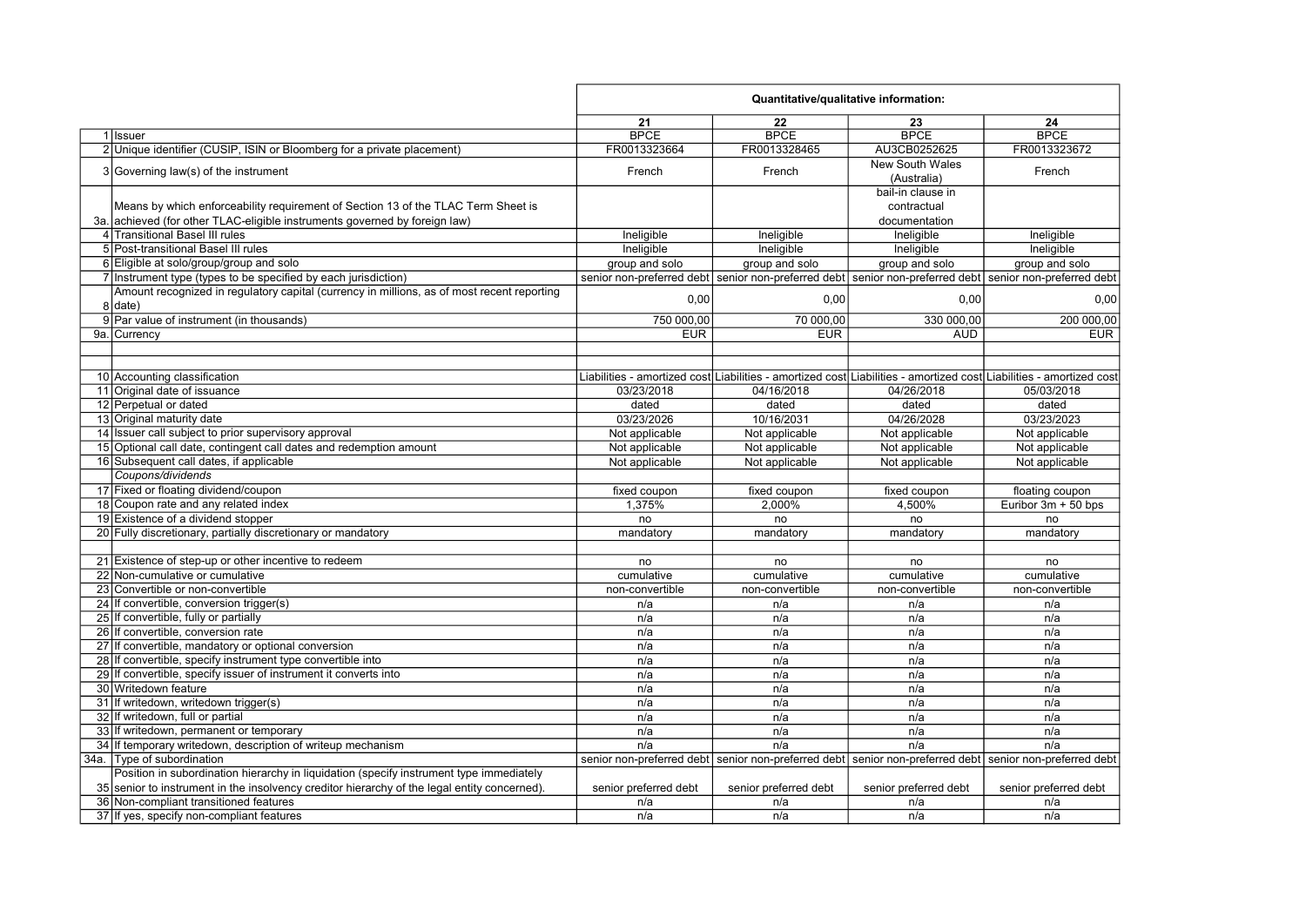|                                                                                              | Quantitative/qualitative information: |                       |                                                                                                         |                                                                                                                     |
|----------------------------------------------------------------------------------------------|---------------------------------------|-----------------------|---------------------------------------------------------------------------------------------------------|---------------------------------------------------------------------------------------------------------------------|
|                                                                                              | 21                                    | 22                    | 23                                                                                                      | 24                                                                                                                  |
| 1 Issuer                                                                                     | <b>BPCE</b>                           | <b>BPCE</b>           | <b>BPCE</b>                                                                                             | <b>BPCE</b>                                                                                                         |
| 2 Unique identifier (CUSIP, ISIN or Bloomberg for a private placement)                       | FR0013323664                          | FR0013328465          | AU3CB0252625                                                                                            | FR0013323672                                                                                                        |
| $3 Governing law(s)$ of the instrument                                                       | French                                | French                | <b>New South Wales</b><br>(Australia)                                                                   | French                                                                                                              |
|                                                                                              |                                       |                       | bail-in clause in                                                                                       |                                                                                                                     |
| Means by which enforceability requirement of Section 13 of the TLAC Term Sheet is            |                                       |                       | contractual                                                                                             |                                                                                                                     |
| 3a, achieved (for other TLAC-eligible instruments governed by foreign law)                   |                                       |                       | documentation                                                                                           |                                                                                                                     |
| 4 Transitional Basel III rules                                                               | Ineligible                            | Ineligible            | Ineligible                                                                                              | Ineligible                                                                                                          |
| 5 Post-transitional Basel III rules                                                          | Ineligible                            | Ineligible            | Ineligible                                                                                              | Ineligible                                                                                                          |
| 6 Eligible at solo/group/group and solo                                                      | group and solo                        | group and solo        | group and solo                                                                                          | group and solo                                                                                                      |
| 7 Instrument type (types to be specified by each jurisdiction)                               |                                       |                       |                                                                                                         | senior non-preferred debt senior non-preferred debt senior non-preferred debt senior non-preferred debt             |
| Amount recognized in regulatory capital (currency in millions, as of most recent reporting   |                                       |                       |                                                                                                         |                                                                                                                     |
| 8 date)                                                                                      | 0,00                                  | 0,00                  | 0,00                                                                                                    | 0,00                                                                                                                |
| 9 Par value of instrument (in thousands)                                                     | 750 000,00                            | 70 000,00             | 330 000,00                                                                                              | 200 000,00                                                                                                          |
| 9a. Currency                                                                                 | <b>EUR</b>                            | <b>EUR</b>            | <b>AUD</b>                                                                                              | <b>EUR</b>                                                                                                          |
|                                                                                              |                                       |                       |                                                                                                         |                                                                                                                     |
|                                                                                              |                                       |                       |                                                                                                         |                                                                                                                     |
| 10 Accounting classification                                                                 |                                       |                       |                                                                                                         | Liabilities - amortized cost Liabilities - amortized cost Liabilities - amortized cost Liabilities - amortized cost |
| 11 Original date of issuance                                                                 | 03/23/2018                            | 04/16/2018            | 04/26/2018                                                                                              | 05/03/2018                                                                                                          |
| 12 Perpetual or dated                                                                        | dated                                 | dated                 | dated                                                                                                   | dated                                                                                                               |
| 13 Original maturity date                                                                    | 03/23/2026                            | 10/16/2031            | 04/26/2028                                                                                              | 03/23/2023                                                                                                          |
| 14 Issuer call subject to prior supervisory approval                                         | Not applicable                        | Not applicable        | Not applicable                                                                                          | Not applicable                                                                                                      |
| 15 Optional call date, contingent call dates and redemption amount                           | Not applicable                        | Not applicable        | Not applicable                                                                                          | Not applicable                                                                                                      |
| 16 Subsequent call dates, if applicable                                                      | Not applicable                        | Not applicable        | Not applicable                                                                                          | Not applicable                                                                                                      |
| Coupons/dividends                                                                            |                                       |                       |                                                                                                         |                                                                                                                     |
| 17 Fixed or floating dividend/coupon                                                         | fixed coupon                          | fixed coupon          | fixed coupon                                                                                            | floating coupon                                                                                                     |
| 18 Coupon rate and any related index                                                         | 1,375%                                | 2,000%                | 4,500%                                                                                                  | Euribor 3m + 50 bps                                                                                                 |
| 19 Existence of a dividend stopper                                                           | no                                    | no                    | no                                                                                                      | no                                                                                                                  |
| 20 Fully discretionary, partially discretionary or mandatory                                 | mandatory                             | mandatory             | mandatory                                                                                               | mandatory                                                                                                           |
|                                                                                              |                                       |                       |                                                                                                         |                                                                                                                     |
| 21 Existence of step-up or other incentive to redeem                                         | no                                    | no                    | no                                                                                                      | no                                                                                                                  |
| 22 Non-cumulative or cumulative                                                              | cumulative                            | cumulative            | cumulative                                                                                              | cumulative                                                                                                          |
| 23 Convertible or non-convertible                                                            | non-convertible                       | non-convertible       | non-convertible                                                                                         | non-convertible                                                                                                     |
| 24 If convertible, conversion trigger(s)                                                     | n/a                                   | n/a                   | n/a                                                                                                     | n/a                                                                                                                 |
| 25 If convertible, fully or partially                                                        | n/a                                   | n/a                   | n/a                                                                                                     | n/a                                                                                                                 |
| 26 If convertible, conversion rate                                                           | n/a                                   | n/a                   | n/a                                                                                                     | n/a                                                                                                                 |
| 27 If convertible, mandatory or optional conversion                                          | n/a                                   | n/a                   | n/a                                                                                                     | n/a                                                                                                                 |
| 28 If convertible, specify instrument type convertible into                                  | n/a                                   | n/a                   | n/a                                                                                                     | n/a                                                                                                                 |
| 29 If convertible, specify issuer of instrument it converts into                             | n/a                                   | n/a                   | n/a                                                                                                     | n/a                                                                                                                 |
| 30 Writedown feature                                                                         | n/a                                   | n/a                   | n/a                                                                                                     | n/a                                                                                                                 |
| 31 If writedown, writedown trigger(s)                                                        | n/a                                   | n/a                   | n/a                                                                                                     | n/a                                                                                                                 |
| 32 If writedown, full or partial                                                             | n/a                                   | n/a                   | n/a                                                                                                     | n/a                                                                                                                 |
| 33 If writedown, permanent or temporary                                                      | n/a                                   | n/a                   | n/a                                                                                                     | n/a                                                                                                                 |
| 34 If temporary writedown, description of writeup mechanism                                  | n/a                                   | n/a                   | n/a                                                                                                     | n/a                                                                                                                 |
| 34a. Type of subordination                                                                   |                                       |                       | senior non-preferred debt senior non-preferred debt senior non-preferred debt senior non-preferred debt |                                                                                                                     |
| Position in subordination hierarchy in liquidation (specify instrument type immediately      |                                       |                       |                                                                                                         |                                                                                                                     |
| 35 senior to instrument in the insolvency creditor hierarchy of the legal entity concerned). | senior preferred debt                 | senior preferred debt | senior preferred debt                                                                                   | senior preferred debt                                                                                               |
| 36 Non-compliant transitioned features                                                       | n/a                                   | n/a                   | n/a                                                                                                     | n/a                                                                                                                 |
| 37 If yes, specify non-compliant features                                                    | n/a                                   | n/a                   | n/a                                                                                                     | n/a                                                                                                                 |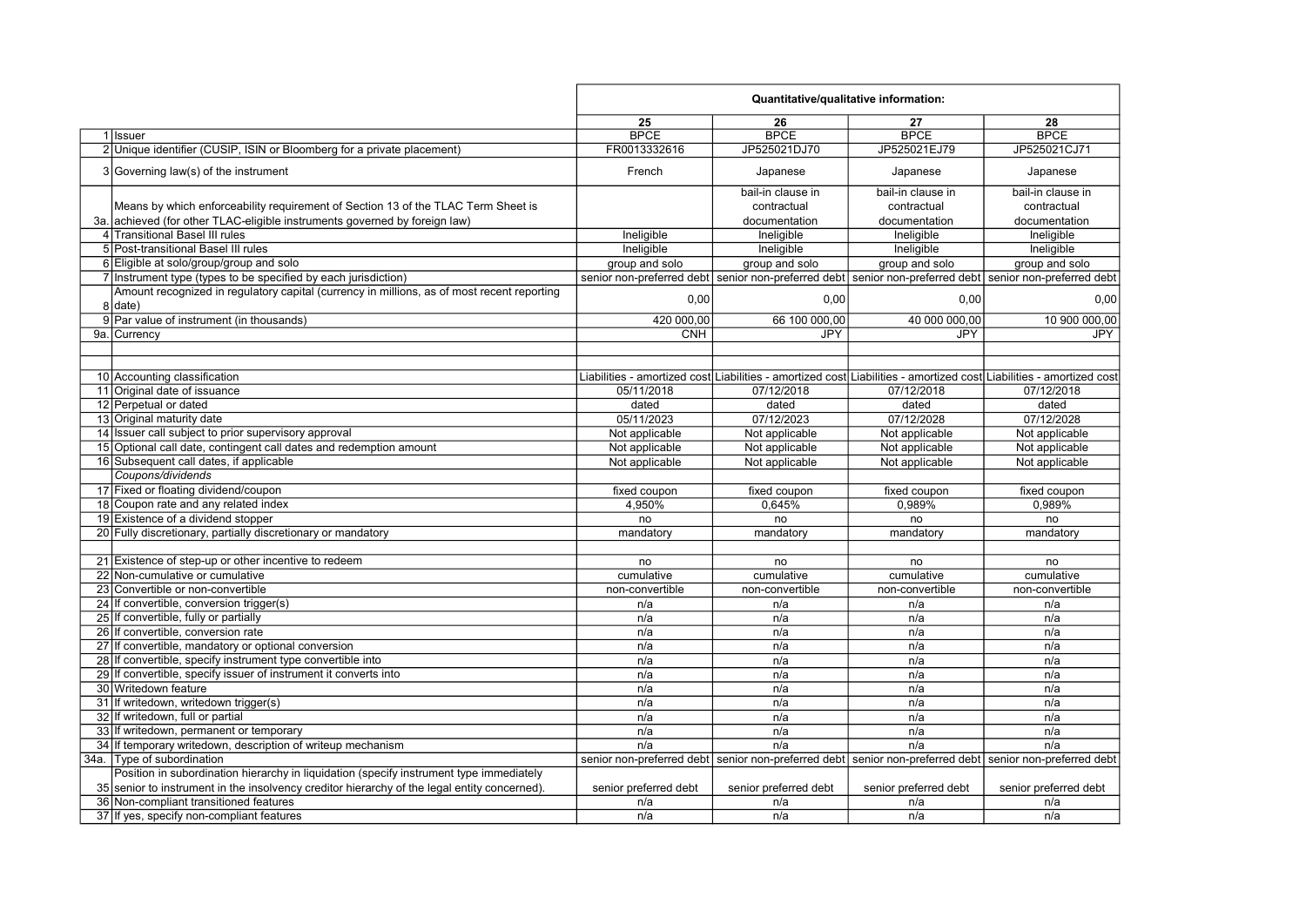|                                                                                                       | Quantitative/qualitative information: |                       |                                                                                                                     |                       |
|-------------------------------------------------------------------------------------------------------|---------------------------------------|-----------------------|---------------------------------------------------------------------------------------------------------------------|-----------------------|
|                                                                                                       | 25                                    | 26                    | 27                                                                                                                  | 28                    |
| $1$ Issuer                                                                                            | <b>BPCE</b>                           | <b>BPCE</b>           | <b>BPCE</b>                                                                                                         | <b>BPCE</b>           |
| 2 Unique identifier (CUSIP, ISIN or Bloomberg for a private placement)                                | FR0013332616                          | JP525021DJ70          | JP525021EJ79                                                                                                        | JP525021CJ71          |
| 3 Governing law(s) of the instrument                                                                  | French                                | Japanese              | Japanese                                                                                                            | Japanese              |
|                                                                                                       |                                       | bail-in clause in     | bail-in clause in                                                                                                   | bail-in clause in     |
| Means by which enforceability requirement of Section 13 of the TLAC Term Sheet is                     |                                       | contractual           | contractual                                                                                                         | contractual           |
| 3a. achieved (for other TLAC-eligible instruments governed by foreign law)                            |                                       | documentation         | documentation                                                                                                       | documentation         |
| 4 Transitional Basel III rules                                                                        | Ineligible                            | Ineligible            | Ineligible                                                                                                          | Ineligible            |
| 5 Post-transitional Basel III rules                                                                   | Ineligible                            | Ineligible            | Ineligible                                                                                                          | Ineligible            |
| 6 Eligible at solo/group/group and solo                                                               | group and solo                        | group and solo        | group and solo                                                                                                      | group and solo        |
| 7 Instrument type (types to be specified by each jurisdiction)                                        |                                       |                       | senior non-preferred debt senior non-preferred debt senior non-preferred debt senior non-preferred debt             |                       |
| Amount recognized in regulatory capital (currency in millions, as of most recent reporting<br>8 date) | 0,00                                  | 0,00                  | 0,00                                                                                                                | 0,00                  |
| 9 Par value of instrument (in thousands)                                                              | 420 000,00                            | 66 100 000,00         | 40 000 000,00                                                                                                       | 10 900 000,00         |
| 9a. Currency                                                                                          | <b>CNH</b>                            | JPY                   | <b>JPY</b>                                                                                                          | <b>JPY</b>            |
|                                                                                                       |                                       |                       |                                                                                                                     |                       |
|                                                                                                       |                                       |                       |                                                                                                                     |                       |
| 10 Accounting classification                                                                          |                                       |                       | Liabilities - amortized cost Liabilities - amortized cost Liabilities - amortized cost Liabilities - amortized cost |                       |
| 11 Original date of issuance                                                                          | 05/11/2018                            | 07/12/2018            | 07/12/2018                                                                                                          | 07/12/2018            |
| 12 Perpetual or dated                                                                                 | dated                                 | dated                 | dated                                                                                                               | dated                 |
| 13 Original maturity date                                                                             | 05/11/2023                            | 07/12/2023            | 07/12/2028                                                                                                          | 07/12/2028            |
| 14 Issuer call subject to prior supervisory approval                                                  | Not applicable                        | Not applicable        | Not applicable                                                                                                      | Not applicable        |
| 15 Optional call date, contingent call dates and redemption amount                                    | Not applicable                        | Not applicable        | Not applicable                                                                                                      | Not applicable        |
| 16 Subsequent call dates, if applicable                                                               | Not applicable                        | Not applicable        | Not applicable                                                                                                      | Not applicable        |
| Coupons/dividends                                                                                     |                                       |                       |                                                                                                                     |                       |
| 17 Fixed or floating dividend/coupon                                                                  | fixed coupon                          | fixed coupon          | fixed coupon                                                                                                        | fixed coupon          |
| 18 Coupon rate and any related index                                                                  | 4.950%                                | 0.645%                | 0.989%                                                                                                              | 0.989%                |
| 19 Existence of a dividend stopper                                                                    | no                                    | no                    | no                                                                                                                  | no                    |
| 20 Fully discretionary, partially discretionary or mandatory                                          | mandatory                             | mandatory             | mandatory                                                                                                           | mandatory             |
|                                                                                                       |                                       |                       |                                                                                                                     |                       |
| 21 Existence of step-up or other incentive to redeem                                                  | no                                    | no                    | no                                                                                                                  | no                    |
| 22 Non-cumulative or cumulative                                                                       | cumulative                            | cumulative            | cumulative                                                                                                          | cumulative            |
| 23 Convertible or non-convertible                                                                     | non-convertible                       | non-convertible       | non-convertible                                                                                                     | non-convertible       |
| 24 If convertible, conversion trigger(s)                                                              | n/a                                   | n/a                   | n/a                                                                                                                 | n/a                   |
| 25 If convertible, fully or partially                                                                 | n/a                                   | n/a                   | n/a                                                                                                                 | n/a                   |
| 26 If convertible, conversion rate                                                                    | n/a                                   | n/a                   | n/a                                                                                                                 | n/a                   |
| 27 If convertible, mandatory or optional conversion                                                   | n/a                                   | n/a                   | n/a                                                                                                                 | n/a                   |
| 28 If convertible, specify instrument type convertible into                                           | n/a                                   | n/a                   | n/a                                                                                                                 | n/a                   |
| 29 If convertible, specify issuer of instrument it converts into                                      | n/a                                   | n/a                   | n/a                                                                                                                 | n/a                   |
| 30 Writedown feature                                                                                  | n/a                                   | n/a                   | n/a                                                                                                                 | n/a                   |
| 31 If writedown, writedown trigger(s)                                                                 | n/a                                   | n/a                   | n/a                                                                                                                 | n/a                   |
| 32 If writedown, full or partial                                                                      | n/a                                   | n/a                   | n/a                                                                                                                 | n/a                   |
| 33 If writedown, permanent or temporary                                                               | n/a                                   | n/a                   | n/a                                                                                                                 | n/a                   |
| 34 If temporary writedown, description of writeup mechanism                                           | n/a                                   | n/a                   | n/a                                                                                                                 | n/a                   |
| 34a. Type of subordination                                                                            |                                       |                       | senior non-preferred debt senior non-preferred debt senior non-preferred debt senior non-preferred debt             |                       |
| Position in subordination hierarchy in liquidation (specify instrument type immediately               |                                       |                       |                                                                                                                     |                       |
| 35 senior to instrument in the insolvency creditor hierarchy of the legal entity concerned).          | senior preferred debt                 | senior preferred debt | senior preferred debt                                                                                               | senior preferred debt |
| 36 Non-compliant transitioned features                                                                | n/a                                   | n/a                   | n/a                                                                                                                 | n/a                   |
| 37 If yes, specify non-compliant features                                                             | n/a                                   | n/a                   | n/a                                                                                                                 | n/a                   |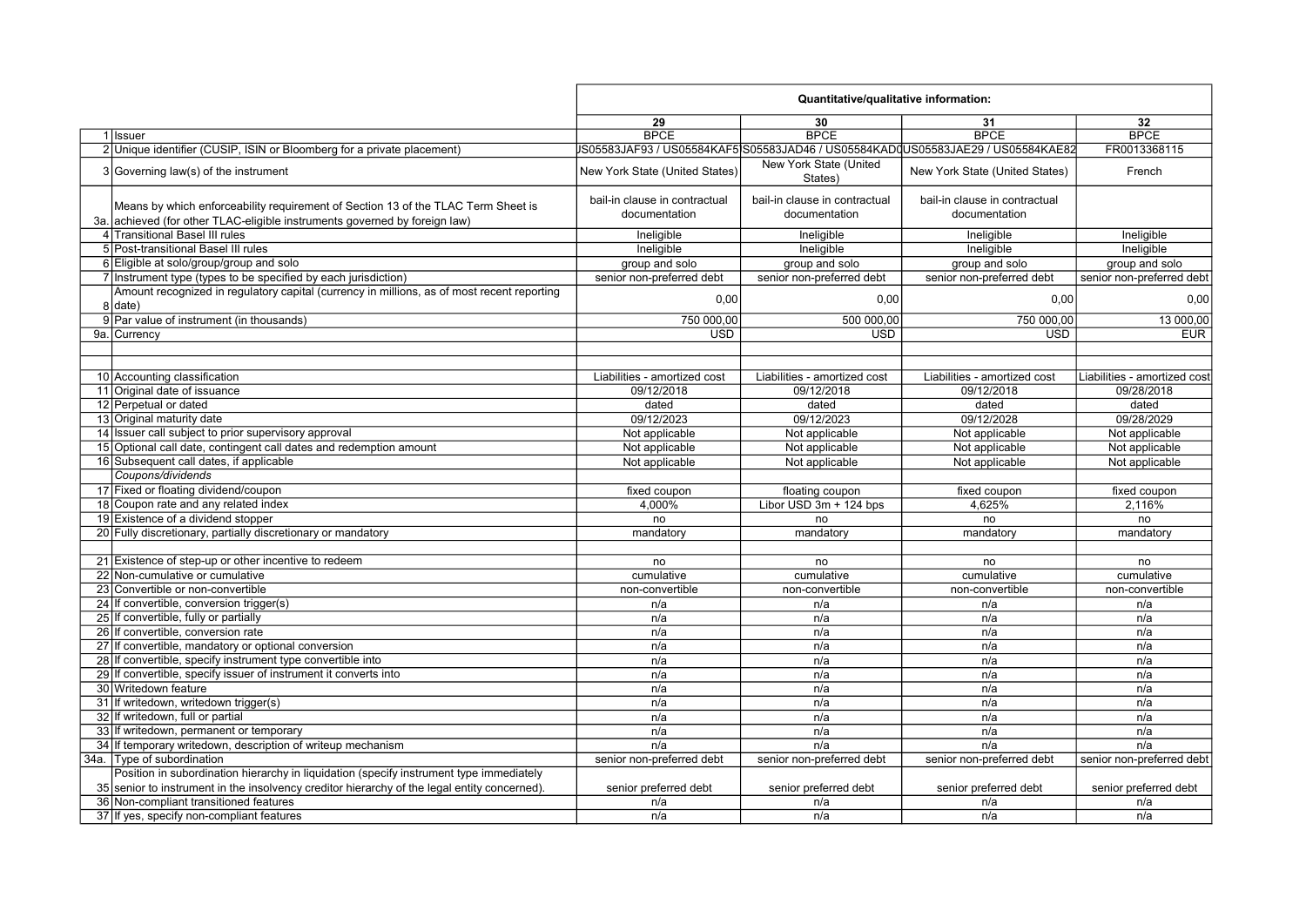|      |                                                                                                                                                                 |                                                | Quantitative/qualitative information:          |                                                                                 |                              |
|------|-----------------------------------------------------------------------------------------------------------------------------------------------------------------|------------------------------------------------|------------------------------------------------|---------------------------------------------------------------------------------|------------------------------|
|      |                                                                                                                                                                 | 29                                             | 30                                             | 31                                                                              | 32                           |
|      | 1 Issuer                                                                                                                                                        | <b>BPCE</b>                                    | <b>BPCE</b>                                    | <b>BPCE</b>                                                                     | <b>BPCE</b>                  |
|      | 2 Unique identifier (CUSIP, ISIN or Bloomberg for a private placement)                                                                                          |                                                |                                                | JS05583JAF93 / US05584KAF5 S05583JAD46 / US05584KAD0US05583JAE29 / US05584KAE82 | FR0013368115                 |
|      | 3 Governing law(s) of the instrument                                                                                                                            | New York State (United States)                 | New York State (United<br>States)              | New York State (United States)                                                  | French                       |
|      | Means by which enforceability requirement of Section 13 of the TLAC Term Sheet is<br>3a. achieved (for other TLAC-eligible instruments governed by foreign law) | bail-in clause in contractual<br>documentation | bail-in clause in contractual<br>documentation | bail-in clause in contractual<br>documentation                                  |                              |
|      | 4 Transitional Basel III rules                                                                                                                                  | Ineligible                                     | Ineligible                                     | Ineligible                                                                      | Ineligible                   |
|      | 5 Post-transitional Basel III rules                                                                                                                             | Ineligible                                     | Ineligible                                     | Ineligible                                                                      | Ineligible                   |
|      | 6 Eligible at solo/group/group and solo                                                                                                                         | group and solo                                 | group and solo                                 | group and solo                                                                  | group and solo               |
|      | 7 Instrument type (types to be specified by each jurisdiction)                                                                                                  | senior non-preferred debt                      | senior non-preferred debt                      | senior non-preferred debt                                                       | senior non-preferred debt    |
|      | Amount recognized in regulatory capital (currency in millions, as of most recent reporting                                                                      |                                                |                                                |                                                                                 |                              |
|      | 8 date)                                                                                                                                                         | 0,00                                           | 0,00                                           | 0,00                                                                            | 0,00                         |
|      | 9 Par value of instrument (in thousands)                                                                                                                        | 750 000,00                                     | 500 000,00                                     | 750 000,00                                                                      | 13 000,00                    |
|      | 9a. Currency                                                                                                                                                    | <b>USD</b>                                     | <b>USD</b>                                     | <b>USD</b>                                                                      | <b>EUR</b>                   |
|      |                                                                                                                                                                 |                                                |                                                |                                                                                 |                              |
|      |                                                                                                                                                                 |                                                |                                                |                                                                                 |                              |
|      | 10 Accounting classification                                                                                                                                    | Liabilities - amortized cost                   | Liabilities - amortized cost                   | Liabilities - amortized cost                                                    | Liabilities - amortized cost |
|      | 11 Original date of issuance                                                                                                                                    | 09/12/2018                                     | 09/12/2018                                     | 09/12/2018                                                                      | 09/28/2018                   |
|      | 12 Perpetual or dated                                                                                                                                           | dated                                          | dated                                          | dated                                                                           | dated                        |
|      | 13 Original maturity date                                                                                                                                       | 09/12/2023                                     | 09/12/2023                                     | 09/12/2028                                                                      | 09/28/2029                   |
|      | 14 Issuer call subject to prior supervisory approval                                                                                                            | Not applicable                                 | Not applicable                                 | Not applicable                                                                  | Not applicable               |
|      | 15 Optional call date, contingent call dates and redemption amount                                                                                              | Not applicable                                 | Not applicable                                 | Not applicable                                                                  | Not applicable               |
|      | 16 Subsequent call dates, if applicable                                                                                                                         | Not applicable                                 | Not applicable                                 | Not applicable                                                                  | Not applicable               |
|      | Coupons/dividends                                                                                                                                               |                                                |                                                |                                                                                 |                              |
|      | 17 Fixed or floating dividend/coupon                                                                                                                            | fixed coupon                                   | floating coupon                                | fixed coupon                                                                    | fixed coupon                 |
|      | 18 Coupon rate and any related index                                                                                                                            | 4,000%                                         | Libor USD 3m + 124 bps                         | 4,625%                                                                          | 2,116%                       |
|      | 19 Existence of a dividend stopper                                                                                                                              | no                                             | no                                             | no                                                                              | no                           |
|      | 20 Fully discretionary, partially discretionary or mandatory                                                                                                    | mandatory                                      | mandatory                                      | mandatory                                                                       | mandatory                    |
|      |                                                                                                                                                                 |                                                |                                                |                                                                                 |                              |
|      | 21 Existence of step-up or other incentive to redeem                                                                                                            | no                                             | no                                             | no                                                                              | no                           |
|      | 22 Non-cumulative or cumulative                                                                                                                                 | cumulative                                     | cumulative                                     | cumulative                                                                      | cumulative                   |
|      | 23 Convertible or non-convertible                                                                                                                               | non-convertible                                | non-convertible                                | non-convertible                                                                 | non-convertible              |
|      | 24 If convertible, conversion trigger(s)                                                                                                                        | n/a                                            | n/a                                            | n/a                                                                             | n/a                          |
|      | 25 If convertible, fully or partially                                                                                                                           | n/a                                            | n/a                                            | n/a                                                                             | n/a                          |
|      | 26 If convertible, conversion rate                                                                                                                              | n/a                                            | n/a                                            | n/a                                                                             | n/a                          |
|      | 27 If convertible, mandatory or optional conversion                                                                                                             | n/a                                            | n/a                                            | n/a                                                                             | n/a                          |
|      | 28 If convertible, specify instrument type convertible into                                                                                                     | n/a                                            | n/a                                            | n/a                                                                             | n/a                          |
|      | 29 If convertible, specify issuer of instrument it converts into                                                                                                | n/a                                            | n/a                                            | n/a                                                                             | n/a                          |
|      | 30 Writedown feature                                                                                                                                            | n/a                                            | n/a                                            | n/a                                                                             | n/a                          |
|      | 31 If writedown, writedown trigger(s)                                                                                                                           | n/a                                            | n/a                                            | n/a                                                                             | n/a                          |
|      | 32 If writedown, full or partial                                                                                                                                | n/a                                            | n/a                                            | n/a                                                                             | n/a                          |
|      | 33 If writedown, permanent or temporary                                                                                                                         | n/a                                            | n/a                                            | n/a                                                                             | n/a                          |
|      | 34 If temporary writedown, description of writeup mechanism                                                                                                     | n/a                                            | n/a                                            | n/a                                                                             | n/a                          |
| 34a. | Type of subordination                                                                                                                                           | senior non-preferred debt                      | senior non-preferred debt                      | senior non-preferred debt                                                       | senior non-preferred debt    |
|      | Position in subordination hierarchy in liquidation (specify instrument type immediately                                                                         |                                                |                                                |                                                                                 |                              |
|      | 35 senior to instrument in the insolvency creditor hierarchy of the legal entity concerned).                                                                    | senior preferred debt                          | senior preferred debt                          | senior preferred debt                                                           | senior preferred debt        |
|      | 36 Non-compliant transitioned features                                                                                                                          | n/a                                            | n/a                                            | n/a                                                                             | n/a                          |
|      | 37 If yes, specify non-compliant features                                                                                                                       | n/a                                            | n/a                                            | n/a                                                                             | n/a                          |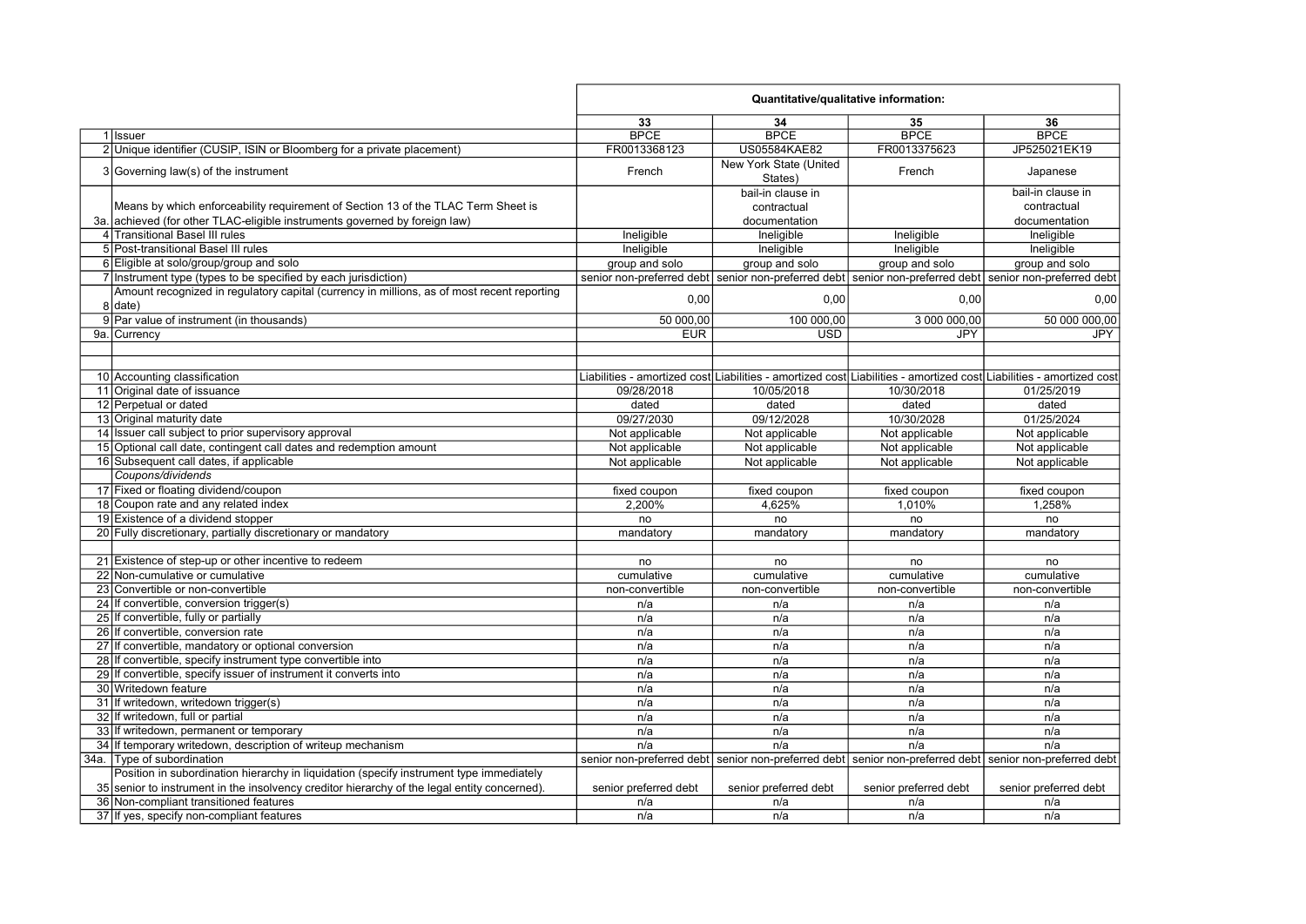| 33<br>36<br>34<br>35<br><b>BPCE</b><br><b>BPCE</b><br><b>BPCE</b><br><b>BPCE</b><br>1 Issuer<br>2 Unique identifier (CUSIP, ISIN or Bloomberg for a private placement)<br>FR0013368123<br><b>US05584KAE82</b><br>FR0013375623<br>JP525021EK19<br>New York State (United<br>3 Governing law(s) of the instrument<br>French<br>French<br>Japanese<br>States)<br>bail-in clause in<br>bail-in clause in<br>Means by which enforceability requirement of Section 13 of the TLAC Term Sheet is<br>contractual<br>contractual<br>3a, achieved (for other TLAC-eligible instruments governed by foreign law)<br>documentation<br>documentation<br>4 Transitional Basel III rules<br>Ineligible<br>Ineligible<br>Ineligible<br>Ineligible<br>5 Post-transitional Basel III rules<br>Ineligible<br>Ineligible<br>Ineligible<br>Ineligible<br>6 Eligible at solo/group/group and solo<br>group and solo<br>group and solo<br>group and solo<br>group and solo<br>senior non-preferred debt senior non-preferred debt senior non-preferred debt senior non-preferred debt<br>7 Instrument type (types to be specified by each jurisdiction)<br>Amount recognized in regulatory capital (currency in millions, as of most recent reporting<br>0,00<br>0,00<br>0,00<br>0,00<br>8 date)<br>9 Par value of instrument (in thousands)<br>50 000,00<br>100 000,00<br>3 000 000,00<br>50 000 000,00<br>9a. Currency<br><b>EUR</b><br><b>USD</b><br><b>JPY</b><br><b>JPY</b><br>10 Accounting classification<br>Liabilities - amortized cost Liabilities - amortized cost Liabilities - amortized cost Liabilities - amortized cost<br>11 Original date of issuance<br>09/28/2018<br>10/05/2018<br>10/30/2018<br>01/25/2019<br>12 Perpetual or dated<br>dated<br>dated<br>dated<br>dated<br>13 Original maturity date<br>09/27/2030<br>10/30/2028<br>01/25/2024<br>09/12/2028<br>14 Issuer call subject to prior supervisory approval<br>Not applicable<br>Not applicable<br>Not applicable<br>Not applicable<br>15 Optional call date, contingent call dates and redemption amount<br>Not applicable<br>Not applicable<br>Not applicable<br>Not applicable<br>16 Subsequent call dates, if applicable<br>Not applicable<br>Not applicable<br>Not applicable<br>Not applicable<br>Coupons/dividends<br>17 Fixed or floating dividend/coupon<br>fixed coupon<br>fixed coupon<br>fixed coupon<br>fixed coupon<br>18 Coupon rate and any related index<br>1,258%<br>2,200%<br>4,625%<br>1,010%<br>19 Existence of a dividend stopper<br>no<br>no<br>no<br>no<br>20 Fully discretionary, partially discretionary or mandatory<br>mandatory<br>mandatory<br>mandatory<br>mandatory<br>21 Existence of step-up or other incentive to redeem<br>no<br>no<br>no<br>no<br>22 Non-cumulative or cumulative<br>cumulative<br>cumulative<br>cumulative<br>cumulative<br>23 Convertible or non-convertible<br>non-convertible<br>non-convertible<br>non-convertible<br>non-convertible<br>24 If convertible, conversion trigger(s)<br>n/a<br>n/a<br>n/a<br>n/a<br>25 If convertible, fully or partially<br>n/a<br>n/a<br>n/a<br>n/a<br>26 If convertible, conversion rate<br>n/a<br>n/a<br>n/a<br>n/a<br>27 If convertible, mandatory or optional conversion<br>n/a<br>n/a<br>n/a<br>n/a<br>28 If convertible, specify instrument type convertible into<br>n/a<br>n/a<br>n/a<br>n/a<br>29 If convertible, specify issuer of instrument it converts into<br>n/a<br>n/a<br>n/a<br>n/a<br>30 Writedown feature<br>n/a<br>n/a<br>n/a<br>n/a<br>31 If writedown, writedown trigger(s)<br>n/a<br>n/a<br>n/a<br>n/a<br>32 If writedown, full or partial<br>n/a<br>n/a<br>n/a<br>n/a<br>33 If writedown, permanent or temporary<br>n/a<br>n/a<br>n/a<br>n/a<br>34 If temporary writedown, description of writeup mechanism<br>n/a<br>n/a<br>n/a<br>n/a<br>34a. Type of subordination<br>senior non-preferred debt senior non-preferred debt senior non-preferred debt senior non-preferred debt<br>Position in subordination hierarchy in liquidation (specify instrument type immediately<br>35 senior to instrument in the insolvency creditor hierarchy of the legal entity concerned).<br>senior preferred debt<br>senior preferred debt<br>senior preferred debt<br>senior preferred debt<br>36 Non-compliant transitioned features<br>n/a<br>n/a<br>n/a<br>n/a<br>37 If yes, specify non-compliant features<br>n/a<br>n/a<br>n/a<br>n/a |  | Quantitative/qualitative information: |  |  |  |
|-------------------------------------------------------------------------------------------------------------------------------------------------------------------------------------------------------------------------------------------------------------------------------------------------------------------------------------------------------------------------------------------------------------------------------------------------------------------------------------------------------------------------------------------------------------------------------------------------------------------------------------------------------------------------------------------------------------------------------------------------------------------------------------------------------------------------------------------------------------------------------------------------------------------------------------------------------------------------------------------------------------------------------------------------------------------------------------------------------------------------------------------------------------------------------------------------------------------------------------------------------------------------------------------------------------------------------------------------------------------------------------------------------------------------------------------------------------------------------------------------------------------------------------------------------------------------------------------------------------------------------------------------------------------------------------------------------------------------------------------------------------------------------------------------------------------------------------------------------------------------------------------------------------------------------------------------------------------------------------------------------------------------------------------------------------------------------------------------------------------------------------------------------------------------------------------------------------------------------------------------------------------------------------------------------------------------------------------------------------------------------------------------------------------------------------------------------------------------------------------------------------------------------------------------------------------------------------------------------------------------------------------------------------------------------------------------------------------------------------------------------------------------------------------------------------------------------------------------------------------------------------------------------------------------------------------------------------------------------------------------------------------------------------------------------------------------------------------------------------------------------------------------------------------------------------------------------------------------------------------------------------------------------------------------------------------------------------------------------------------------------------------------------------------------------------------------------------------------------------------------------------------------------------------------------------------------------------------------------------------------------------------------------------------------------------------------------------------------------------------------------------------------------------------------------------------------------------------------------------------------------------------------------------------------------------------------------------------------------------------------------------------------------------------------------------------------------------------------------------------------------------------------------------------------------------------------------------------------------------------------------------------------------------------------------------------------------------------------------------------------------------------------------|--|---------------------------------------|--|--|--|
|                                                                                                                                                                                                                                                                                                                                                                                                                                                                                                                                                                                                                                                                                                                                                                                                                                                                                                                                                                                                                                                                                                                                                                                                                                                                                                                                                                                                                                                                                                                                                                                                                                                                                                                                                                                                                                                                                                                                                                                                                                                                                                                                                                                                                                                                                                                                                                                                                                                                                                                                                                                                                                                                                                                                                                                                                                                                                                                                                                                                                                                                                                                                                                                                                                                                                                                                                                                                                                                                                                                                                                                                                                                                                                                                                                                                                                                                                                                                                                                                                                                                                                                                                                                                                                                                                                                                                                                                       |  |                                       |  |  |  |
|                                                                                                                                                                                                                                                                                                                                                                                                                                                                                                                                                                                                                                                                                                                                                                                                                                                                                                                                                                                                                                                                                                                                                                                                                                                                                                                                                                                                                                                                                                                                                                                                                                                                                                                                                                                                                                                                                                                                                                                                                                                                                                                                                                                                                                                                                                                                                                                                                                                                                                                                                                                                                                                                                                                                                                                                                                                                                                                                                                                                                                                                                                                                                                                                                                                                                                                                                                                                                                                                                                                                                                                                                                                                                                                                                                                                                                                                                                                                                                                                                                                                                                                                                                                                                                                                                                                                                                                                       |  |                                       |  |  |  |
|                                                                                                                                                                                                                                                                                                                                                                                                                                                                                                                                                                                                                                                                                                                                                                                                                                                                                                                                                                                                                                                                                                                                                                                                                                                                                                                                                                                                                                                                                                                                                                                                                                                                                                                                                                                                                                                                                                                                                                                                                                                                                                                                                                                                                                                                                                                                                                                                                                                                                                                                                                                                                                                                                                                                                                                                                                                                                                                                                                                                                                                                                                                                                                                                                                                                                                                                                                                                                                                                                                                                                                                                                                                                                                                                                                                                                                                                                                                                                                                                                                                                                                                                                                                                                                                                                                                                                                                                       |  |                                       |  |  |  |
|                                                                                                                                                                                                                                                                                                                                                                                                                                                                                                                                                                                                                                                                                                                                                                                                                                                                                                                                                                                                                                                                                                                                                                                                                                                                                                                                                                                                                                                                                                                                                                                                                                                                                                                                                                                                                                                                                                                                                                                                                                                                                                                                                                                                                                                                                                                                                                                                                                                                                                                                                                                                                                                                                                                                                                                                                                                                                                                                                                                                                                                                                                                                                                                                                                                                                                                                                                                                                                                                                                                                                                                                                                                                                                                                                                                                                                                                                                                                                                                                                                                                                                                                                                                                                                                                                                                                                                                                       |  |                                       |  |  |  |
|                                                                                                                                                                                                                                                                                                                                                                                                                                                                                                                                                                                                                                                                                                                                                                                                                                                                                                                                                                                                                                                                                                                                                                                                                                                                                                                                                                                                                                                                                                                                                                                                                                                                                                                                                                                                                                                                                                                                                                                                                                                                                                                                                                                                                                                                                                                                                                                                                                                                                                                                                                                                                                                                                                                                                                                                                                                                                                                                                                                                                                                                                                                                                                                                                                                                                                                                                                                                                                                                                                                                                                                                                                                                                                                                                                                                                                                                                                                                                                                                                                                                                                                                                                                                                                                                                                                                                                                                       |  |                                       |  |  |  |
|                                                                                                                                                                                                                                                                                                                                                                                                                                                                                                                                                                                                                                                                                                                                                                                                                                                                                                                                                                                                                                                                                                                                                                                                                                                                                                                                                                                                                                                                                                                                                                                                                                                                                                                                                                                                                                                                                                                                                                                                                                                                                                                                                                                                                                                                                                                                                                                                                                                                                                                                                                                                                                                                                                                                                                                                                                                                                                                                                                                                                                                                                                                                                                                                                                                                                                                                                                                                                                                                                                                                                                                                                                                                                                                                                                                                                                                                                                                                                                                                                                                                                                                                                                                                                                                                                                                                                                                                       |  |                                       |  |  |  |
|                                                                                                                                                                                                                                                                                                                                                                                                                                                                                                                                                                                                                                                                                                                                                                                                                                                                                                                                                                                                                                                                                                                                                                                                                                                                                                                                                                                                                                                                                                                                                                                                                                                                                                                                                                                                                                                                                                                                                                                                                                                                                                                                                                                                                                                                                                                                                                                                                                                                                                                                                                                                                                                                                                                                                                                                                                                                                                                                                                                                                                                                                                                                                                                                                                                                                                                                                                                                                                                                                                                                                                                                                                                                                                                                                                                                                                                                                                                                                                                                                                                                                                                                                                                                                                                                                                                                                                                                       |  |                                       |  |  |  |
|                                                                                                                                                                                                                                                                                                                                                                                                                                                                                                                                                                                                                                                                                                                                                                                                                                                                                                                                                                                                                                                                                                                                                                                                                                                                                                                                                                                                                                                                                                                                                                                                                                                                                                                                                                                                                                                                                                                                                                                                                                                                                                                                                                                                                                                                                                                                                                                                                                                                                                                                                                                                                                                                                                                                                                                                                                                                                                                                                                                                                                                                                                                                                                                                                                                                                                                                                                                                                                                                                                                                                                                                                                                                                                                                                                                                                                                                                                                                                                                                                                                                                                                                                                                                                                                                                                                                                                                                       |  |                                       |  |  |  |
|                                                                                                                                                                                                                                                                                                                                                                                                                                                                                                                                                                                                                                                                                                                                                                                                                                                                                                                                                                                                                                                                                                                                                                                                                                                                                                                                                                                                                                                                                                                                                                                                                                                                                                                                                                                                                                                                                                                                                                                                                                                                                                                                                                                                                                                                                                                                                                                                                                                                                                                                                                                                                                                                                                                                                                                                                                                                                                                                                                                                                                                                                                                                                                                                                                                                                                                                                                                                                                                                                                                                                                                                                                                                                                                                                                                                                                                                                                                                                                                                                                                                                                                                                                                                                                                                                                                                                                                                       |  |                                       |  |  |  |
|                                                                                                                                                                                                                                                                                                                                                                                                                                                                                                                                                                                                                                                                                                                                                                                                                                                                                                                                                                                                                                                                                                                                                                                                                                                                                                                                                                                                                                                                                                                                                                                                                                                                                                                                                                                                                                                                                                                                                                                                                                                                                                                                                                                                                                                                                                                                                                                                                                                                                                                                                                                                                                                                                                                                                                                                                                                                                                                                                                                                                                                                                                                                                                                                                                                                                                                                                                                                                                                                                                                                                                                                                                                                                                                                                                                                                                                                                                                                                                                                                                                                                                                                                                                                                                                                                                                                                                                                       |  |                                       |  |  |  |
|                                                                                                                                                                                                                                                                                                                                                                                                                                                                                                                                                                                                                                                                                                                                                                                                                                                                                                                                                                                                                                                                                                                                                                                                                                                                                                                                                                                                                                                                                                                                                                                                                                                                                                                                                                                                                                                                                                                                                                                                                                                                                                                                                                                                                                                                                                                                                                                                                                                                                                                                                                                                                                                                                                                                                                                                                                                                                                                                                                                                                                                                                                                                                                                                                                                                                                                                                                                                                                                                                                                                                                                                                                                                                                                                                                                                                                                                                                                                                                                                                                                                                                                                                                                                                                                                                                                                                                                                       |  |                                       |  |  |  |
|                                                                                                                                                                                                                                                                                                                                                                                                                                                                                                                                                                                                                                                                                                                                                                                                                                                                                                                                                                                                                                                                                                                                                                                                                                                                                                                                                                                                                                                                                                                                                                                                                                                                                                                                                                                                                                                                                                                                                                                                                                                                                                                                                                                                                                                                                                                                                                                                                                                                                                                                                                                                                                                                                                                                                                                                                                                                                                                                                                                                                                                                                                                                                                                                                                                                                                                                                                                                                                                                                                                                                                                                                                                                                                                                                                                                                                                                                                                                                                                                                                                                                                                                                                                                                                                                                                                                                                                                       |  |                                       |  |  |  |
|                                                                                                                                                                                                                                                                                                                                                                                                                                                                                                                                                                                                                                                                                                                                                                                                                                                                                                                                                                                                                                                                                                                                                                                                                                                                                                                                                                                                                                                                                                                                                                                                                                                                                                                                                                                                                                                                                                                                                                                                                                                                                                                                                                                                                                                                                                                                                                                                                                                                                                                                                                                                                                                                                                                                                                                                                                                                                                                                                                                                                                                                                                                                                                                                                                                                                                                                                                                                                                                                                                                                                                                                                                                                                                                                                                                                                                                                                                                                                                                                                                                                                                                                                                                                                                                                                                                                                                                                       |  |                                       |  |  |  |
|                                                                                                                                                                                                                                                                                                                                                                                                                                                                                                                                                                                                                                                                                                                                                                                                                                                                                                                                                                                                                                                                                                                                                                                                                                                                                                                                                                                                                                                                                                                                                                                                                                                                                                                                                                                                                                                                                                                                                                                                                                                                                                                                                                                                                                                                                                                                                                                                                                                                                                                                                                                                                                                                                                                                                                                                                                                                                                                                                                                                                                                                                                                                                                                                                                                                                                                                                                                                                                                                                                                                                                                                                                                                                                                                                                                                                                                                                                                                                                                                                                                                                                                                                                                                                                                                                                                                                                                                       |  |                                       |  |  |  |
|                                                                                                                                                                                                                                                                                                                                                                                                                                                                                                                                                                                                                                                                                                                                                                                                                                                                                                                                                                                                                                                                                                                                                                                                                                                                                                                                                                                                                                                                                                                                                                                                                                                                                                                                                                                                                                                                                                                                                                                                                                                                                                                                                                                                                                                                                                                                                                                                                                                                                                                                                                                                                                                                                                                                                                                                                                                                                                                                                                                                                                                                                                                                                                                                                                                                                                                                                                                                                                                                                                                                                                                                                                                                                                                                                                                                                                                                                                                                                                                                                                                                                                                                                                                                                                                                                                                                                                                                       |  |                                       |  |  |  |
|                                                                                                                                                                                                                                                                                                                                                                                                                                                                                                                                                                                                                                                                                                                                                                                                                                                                                                                                                                                                                                                                                                                                                                                                                                                                                                                                                                                                                                                                                                                                                                                                                                                                                                                                                                                                                                                                                                                                                                                                                                                                                                                                                                                                                                                                                                                                                                                                                                                                                                                                                                                                                                                                                                                                                                                                                                                                                                                                                                                                                                                                                                                                                                                                                                                                                                                                                                                                                                                                                                                                                                                                                                                                                                                                                                                                                                                                                                                                                                                                                                                                                                                                                                                                                                                                                                                                                                                                       |  |                                       |  |  |  |
|                                                                                                                                                                                                                                                                                                                                                                                                                                                                                                                                                                                                                                                                                                                                                                                                                                                                                                                                                                                                                                                                                                                                                                                                                                                                                                                                                                                                                                                                                                                                                                                                                                                                                                                                                                                                                                                                                                                                                                                                                                                                                                                                                                                                                                                                                                                                                                                                                                                                                                                                                                                                                                                                                                                                                                                                                                                                                                                                                                                                                                                                                                                                                                                                                                                                                                                                                                                                                                                                                                                                                                                                                                                                                                                                                                                                                                                                                                                                                                                                                                                                                                                                                                                                                                                                                                                                                                                                       |  |                                       |  |  |  |
|                                                                                                                                                                                                                                                                                                                                                                                                                                                                                                                                                                                                                                                                                                                                                                                                                                                                                                                                                                                                                                                                                                                                                                                                                                                                                                                                                                                                                                                                                                                                                                                                                                                                                                                                                                                                                                                                                                                                                                                                                                                                                                                                                                                                                                                                                                                                                                                                                                                                                                                                                                                                                                                                                                                                                                                                                                                                                                                                                                                                                                                                                                                                                                                                                                                                                                                                                                                                                                                                                                                                                                                                                                                                                                                                                                                                                                                                                                                                                                                                                                                                                                                                                                                                                                                                                                                                                                                                       |  |                                       |  |  |  |
|                                                                                                                                                                                                                                                                                                                                                                                                                                                                                                                                                                                                                                                                                                                                                                                                                                                                                                                                                                                                                                                                                                                                                                                                                                                                                                                                                                                                                                                                                                                                                                                                                                                                                                                                                                                                                                                                                                                                                                                                                                                                                                                                                                                                                                                                                                                                                                                                                                                                                                                                                                                                                                                                                                                                                                                                                                                                                                                                                                                                                                                                                                                                                                                                                                                                                                                                                                                                                                                                                                                                                                                                                                                                                                                                                                                                                                                                                                                                                                                                                                                                                                                                                                                                                                                                                                                                                                                                       |  |                                       |  |  |  |
|                                                                                                                                                                                                                                                                                                                                                                                                                                                                                                                                                                                                                                                                                                                                                                                                                                                                                                                                                                                                                                                                                                                                                                                                                                                                                                                                                                                                                                                                                                                                                                                                                                                                                                                                                                                                                                                                                                                                                                                                                                                                                                                                                                                                                                                                                                                                                                                                                                                                                                                                                                                                                                                                                                                                                                                                                                                                                                                                                                                                                                                                                                                                                                                                                                                                                                                                                                                                                                                                                                                                                                                                                                                                                                                                                                                                                                                                                                                                                                                                                                                                                                                                                                                                                                                                                                                                                                                                       |  |                                       |  |  |  |
|                                                                                                                                                                                                                                                                                                                                                                                                                                                                                                                                                                                                                                                                                                                                                                                                                                                                                                                                                                                                                                                                                                                                                                                                                                                                                                                                                                                                                                                                                                                                                                                                                                                                                                                                                                                                                                                                                                                                                                                                                                                                                                                                                                                                                                                                                                                                                                                                                                                                                                                                                                                                                                                                                                                                                                                                                                                                                                                                                                                                                                                                                                                                                                                                                                                                                                                                                                                                                                                                                                                                                                                                                                                                                                                                                                                                                                                                                                                                                                                                                                                                                                                                                                                                                                                                                                                                                                                                       |  |                                       |  |  |  |
|                                                                                                                                                                                                                                                                                                                                                                                                                                                                                                                                                                                                                                                                                                                                                                                                                                                                                                                                                                                                                                                                                                                                                                                                                                                                                                                                                                                                                                                                                                                                                                                                                                                                                                                                                                                                                                                                                                                                                                                                                                                                                                                                                                                                                                                                                                                                                                                                                                                                                                                                                                                                                                                                                                                                                                                                                                                                                                                                                                                                                                                                                                                                                                                                                                                                                                                                                                                                                                                                                                                                                                                                                                                                                                                                                                                                                                                                                                                                                                                                                                                                                                                                                                                                                                                                                                                                                                                                       |  |                                       |  |  |  |
|                                                                                                                                                                                                                                                                                                                                                                                                                                                                                                                                                                                                                                                                                                                                                                                                                                                                                                                                                                                                                                                                                                                                                                                                                                                                                                                                                                                                                                                                                                                                                                                                                                                                                                                                                                                                                                                                                                                                                                                                                                                                                                                                                                                                                                                                                                                                                                                                                                                                                                                                                                                                                                                                                                                                                                                                                                                                                                                                                                                                                                                                                                                                                                                                                                                                                                                                                                                                                                                                                                                                                                                                                                                                                                                                                                                                                                                                                                                                                                                                                                                                                                                                                                                                                                                                                                                                                                                                       |  |                                       |  |  |  |
|                                                                                                                                                                                                                                                                                                                                                                                                                                                                                                                                                                                                                                                                                                                                                                                                                                                                                                                                                                                                                                                                                                                                                                                                                                                                                                                                                                                                                                                                                                                                                                                                                                                                                                                                                                                                                                                                                                                                                                                                                                                                                                                                                                                                                                                                                                                                                                                                                                                                                                                                                                                                                                                                                                                                                                                                                                                                                                                                                                                                                                                                                                                                                                                                                                                                                                                                                                                                                                                                                                                                                                                                                                                                                                                                                                                                                                                                                                                                                                                                                                                                                                                                                                                                                                                                                                                                                                                                       |  |                                       |  |  |  |
|                                                                                                                                                                                                                                                                                                                                                                                                                                                                                                                                                                                                                                                                                                                                                                                                                                                                                                                                                                                                                                                                                                                                                                                                                                                                                                                                                                                                                                                                                                                                                                                                                                                                                                                                                                                                                                                                                                                                                                                                                                                                                                                                                                                                                                                                                                                                                                                                                                                                                                                                                                                                                                                                                                                                                                                                                                                                                                                                                                                                                                                                                                                                                                                                                                                                                                                                                                                                                                                                                                                                                                                                                                                                                                                                                                                                                                                                                                                                                                                                                                                                                                                                                                                                                                                                                                                                                                                                       |  |                                       |  |  |  |
|                                                                                                                                                                                                                                                                                                                                                                                                                                                                                                                                                                                                                                                                                                                                                                                                                                                                                                                                                                                                                                                                                                                                                                                                                                                                                                                                                                                                                                                                                                                                                                                                                                                                                                                                                                                                                                                                                                                                                                                                                                                                                                                                                                                                                                                                                                                                                                                                                                                                                                                                                                                                                                                                                                                                                                                                                                                                                                                                                                                                                                                                                                                                                                                                                                                                                                                                                                                                                                                                                                                                                                                                                                                                                                                                                                                                                                                                                                                                                                                                                                                                                                                                                                                                                                                                                                                                                                                                       |  |                                       |  |  |  |
|                                                                                                                                                                                                                                                                                                                                                                                                                                                                                                                                                                                                                                                                                                                                                                                                                                                                                                                                                                                                                                                                                                                                                                                                                                                                                                                                                                                                                                                                                                                                                                                                                                                                                                                                                                                                                                                                                                                                                                                                                                                                                                                                                                                                                                                                                                                                                                                                                                                                                                                                                                                                                                                                                                                                                                                                                                                                                                                                                                                                                                                                                                                                                                                                                                                                                                                                                                                                                                                                                                                                                                                                                                                                                                                                                                                                                                                                                                                                                                                                                                                                                                                                                                                                                                                                                                                                                                                                       |  |                                       |  |  |  |
|                                                                                                                                                                                                                                                                                                                                                                                                                                                                                                                                                                                                                                                                                                                                                                                                                                                                                                                                                                                                                                                                                                                                                                                                                                                                                                                                                                                                                                                                                                                                                                                                                                                                                                                                                                                                                                                                                                                                                                                                                                                                                                                                                                                                                                                                                                                                                                                                                                                                                                                                                                                                                                                                                                                                                                                                                                                                                                                                                                                                                                                                                                                                                                                                                                                                                                                                                                                                                                                                                                                                                                                                                                                                                                                                                                                                                                                                                                                                                                                                                                                                                                                                                                                                                                                                                                                                                                                                       |  |                                       |  |  |  |
|                                                                                                                                                                                                                                                                                                                                                                                                                                                                                                                                                                                                                                                                                                                                                                                                                                                                                                                                                                                                                                                                                                                                                                                                                                                                                                                                                                                                                                                                                                                                                                                                                                                                                                                                                                                                                                                                                                                                                                                                                                                                                                                                                                                                                                                                                                                                                                                                                                                                                                                                                                                                                                                                                                                                                                                                                                                                                                                                                                                                                                                                                                                                                                                                                                                                                                                                                                                                                                                                                                                                                                                                                                                                                                                                                                                                                                                                                                                                                                                                                                                                                                                                                                                                                                                                                                                                                                                                       |  |                                       |  |  |  |
|                                                                                                                                                                                                                                                                                                                                                                                                                                                                                                                                                                                                                                                                                                                                                                                                                                                                                                                                                                                                                                                                                                                                                                                                                                                                                                                                                                                                                                                                                                                                                                                                                                                                                                                                                                                                                                                                                                                                                                                                                                                                                                                                                                                                                                                                                                                                                                                                                                                                                                                                                                                                                                                                                                                                                                                                                                                                                                                                                                                                                                                                                                                                                                                                                                                                                                                                                                                                                                                                                                                                                                                                                                                                                                                                                                                                                                                                                                                                                                                                                                                                                                                                                                                                                                                                                                                                                                                                       |  |                                       |  |  |  |
|                                                                                                                                                                                                                                                                                                                                                                                                                                                                                                                                                                                                                                                                                                                                                                                                                                                                                                                                                                                                                                                                                                                                                                                                                                                                                                                                                                                                                                                                                                                                                                                                                                                                                                                                                                                                                                                                                                                                                                                                                                                                                                                                                                                                                                                                                                                                                                                                                                                                                                                                                                                                                                                                                                                                                                                                                                                                                                                                                                                                                                                                                                                                                                                                                                                                                                                                                                                                                                                                                                                                                                                                                                                                                                                                                                                                                                                                                                                                                                                                                                                                                                                                                                                                                                                                                                                                                                                                       |  |                                       |  |  |  |
|                                                                                                                                                                                                                                                                                                                                                                                                                                                                                                                                                                                                                                                                                                                                                                                                                                                                                                                                                                                                                                                                                                                                                                                                                                                                                                                                                                                                                                                                                                                                                                                                                                                                                                                                                                                                                                                                                                                                                                                                                                                                                                                                                                                                                                                                                                                                                                                                                                                                                                                                                                                                                                                                                                                                                                                                                                                                                                                                                                                                                                                                                                                                                                                                                                                                                                                                                                                                                                                                                                                                                                                                                                                                                                                                                                                                                                                                                                                                                                                                                                                                                                                                                                                                                                                                                                                                                                                                       |  |                                       |  |  |  |
|                                                                                                                                                                                                                                                                                                                                                                                                                                                                                                                                                                                                                                                                                                                                                                                                                                                                                                                                                                                                                                                                                                                                                                                                                                                                                                                                                                                                                                                                                                                                                                                                                                                                                                                                                                                                                                                                                                                                                                                                                                                                                                                                                                                                                                                                                                                                                                                                                                                                                                                                                                                                                                                                                                                                                                                                                                                                                                                                                                                                                                                                                                                                                                                                                                                                                                                                                                                                                                                                                                                                                                                                                                                                                                                                                                                                                                                                                                                                                                                                                                                                                                                                                                                                                                                                                                                                                                                                       |  |                                       |  |  |  |
|                                                                                                                                                                                                                                                                                                                                                                                                                                                                                                                                                                                                                                                                                                                                                                                                                                                                                                                                                                                                                                                                                                                                                                                                                                                                                                                                                                                                                                                                                                                                                                                                                                                                                                                                                                                                                                                                                                                                                                                                                                                                                                                                                                                                                                                                                                                                                                                                                                                                                                                                                                                                                                                                                                                                                                                                                                                                                                                                                                                                                                                                                                                                                                                                                                                                                                                                                                                                                                                                                                                                                                                                                                                                                                                                                                                                                                                                                                                                                                                                                                                                                                                                                                                                                                                                                                                                                                                                       |  |                                       |  |  |  |
|                                                                                                                                                                                                                                                                                                                                                                                                                                                                                                                                                                                                                                                                                                                                                                                                                                                                                                                                                                                                                                                                                                                                                                                                                                                                                                                                                                                                                                                                                                                                                                                                                                                                                                                                                                                                                                                                                                                                                                                                                                                                                                                                                                                                                                                                                                                                                                                                                                                                                                                                                                                                                                                                                                                                                                                                                                                                                                                                                                                                                                                                                                                                                                                                                                                                                                                                                                                                                                                                                                                                                                                                                                                                                                                                                                                                                                                                                                                                                                                                                                                                                                                                                                                                                                                                                                                                                                                                       |  |                                       |  |  |  |
|                                                                                                                                                                                                                                                                                                                                                                                                                                                                                                                                                                                                                                                                                                                                                                                                                                                                                                                                                                                                                                                                                                                                                                                                                                                                                                                                                                                                                                                                                                                                                                                                                                                                                                                                                                                                                                                                                                                                                                                                                                                                                                                                                                                                                                                                                                                                                                                                                                                                                                                                                                                                                                                                                                                                                                                                                                                                                                                                                                                                                                                                                                                                                                                                                                                                                                                                                                                                                                                                                                                                                                                                                                                                                                                                                                                                                                                                                                                                                                                                                                                                                                                                                                                                                                                                                                                                                                                                       |  |                                       |  |  |  |
|                                                                                                                                                                                                                                                                                                                                                                                                                                                                                                                                                                                                                                                                                                                                                                                                                                                                                                                                                                                                                                                                                                                                                                                                                                                                                                                                                                                                                                                                                                                                                                                                                                                                                                                                                                                                                                                                                                                                                                                                                                                                                                                                                                                                                                                                                                                                                                                                                                                                                                                                                                                                                                                                                                                                                                                                                                                                                                                                                                                                                                                                                                                                                                                                                                                                                                                                                                                                                                                                                                                                                                                                                                                                                                                                                                                                                                                                                                                                                                                                                                                                                                                                                                                                                                                                                                                                                                                                       |  |                                       |  |  |  |
|                                                                                                                                                                                                                                                                                                                                                                                                                                                                                                                                                                                                                                                                                                                                                                                                                                                                                                                                                                                                                                                                                                                                                                                                                                                                                                                                                                                                                                                                                                                                                                                                                                                                                                                                                                                                                                                                                                                                                                                                                                                                                                                                                                                                                                                                                                                                                                                                                                                                                                                                                                                                                                                                                                                                                                                                                                                                                                                                                                                                                                                                                                                                                                                                                                                                                                                                                                                                                                                                                                                                                                                                                                                                                                                                                                                                                                                                                                                                                                                                                                                                                                                                                                                                                                                                                                                                                                                                       |  |                                       |  |  |  |
|                                                                                                                                                                                                                                                                                                                                                                                                                                                                                                                                                                                                                                                                                                                                                                                                                                                                                                                                                                                                                                                                                                                                                                                                                                                                                                                                                                                                                                                                                                                                                                                                                                                                                                                                                                                                                                                                                                                                                                                                                                                                                                                                                                                                                                                                                                                                                                                                                                                                                                                                                                                                                                                                                                                                                                                                                                                                                                                                                                                                                                                                                                                                                                                                                                                                                                                                                                                                                                                                                                                                                                                                                                                                                                                                                                                                                                                                                                                                                                                                                                                                                                                                                                                                                                                                                                                                                                                                       |  |                                       |  |  |  |
|                                                                                                                                                                                                                                                                                                                                                                                                                                                                                                                                                                                                                                                                                                                                                                                                                                                                                                                                                                                                                                                                                                                                                                                                                                                                                                                                                                                                                                                                                                                                                                                                                                                                                                                                                                                                                                                                                                                                                                                                                                                                                                                                                                                                                                                                                                                                                                                                                                                                                                                                                                                                                                                                                                                                                                                                                                                                                                                                                                                                                                                                                                                                                                                                                                                                                                                                                                                                                                                                                                                                                                                                                                                                                                                                                                                                                                                                                                                                                                                                                                                                                                                                                                                                                                                                                                                                                                                                       |  |                                       |  |  |  |
|                                                                                                                                                                                                                                                                                                                                                                                                                                                                                                                                                                                                                                                                                                                                                                                                                                                                                                                                                                                                                                                                                                                                                                                                                                                                                                                                                                                                                                                                                                                                                                                                                                                                                                                                                                                                                                                                                                                                                                                                                                                                                                                                                                                                                                                                                                                                                                                                                                                                                                                                                                                                                                                                                                                                                                                                                                                                                                                                                                                                                                                                                                                                                                                                                                                                                                                                                                                                                                                                                                                                                                                                                                                                                                                                                                                                                                                                                                                                                                                                                                                                                                                                                                                                                                                                                                                                                                                                       |  |                                       |  |  |  |
|                                                                                                                                                                                                                                                                                                                                                                                                                                                                                                                                                                                                                                                                                                                                                                                                                                                                                                                                                                                                                                                                                                                                                                                                                                                                                                                                                                                                                                                                                                                                                                                                                                                                                                                                                                                                                                                                                                                                                                                                                                                                                                                                                                                                                                                                                                                                                                                                                                                                                                                                                                                                                                                                                                                                                                                                                                                                                                                                                                                                                                                                                                                                                                                                                                                                                                                                                                                                                                                                                                                                                                                                                                                                                                                                                                                                                                                                                                                                                                                                                                                                                                                                                                                                                                                                                                                                                                                                       |  |                                       |  |  |  |
|                                                                                                                                                                                                                                                                                                                                                                                                                                                                                                                                                                                                                                                                                                                                                                                                                                                                                                                                                                                                                                                                                                                                                                                                                                                                                                                                                                                                                                                                                                                                                                                                                                                                                                                                                                                                                                                                                                                                                                                                                                                                                                                                                                                                                                                                                                                                                                                                                                                                                                                                                                                                                                                                                                                                                                                                                                                                                                                                                                                                                                                                                                                                                                                                                                                                                                                                                                                                                                                                                                                                                                                                                                                                                                                                                                                                                                                                                                                                                                                                                                                                                                                                                                                                                                                                                                                                                                                                       |  |                                       |  |  |  |
|                                                                                                                                                                                                                                                                                                                                                                                                                                                                                                                                                                                                                                                                                                                                                                                                                                                                                                                                                                                                                                                                                                                                                                                                                                                                                                                                                                                                                                                                                                                                                                                                                                                                                                                                                                                                                                                                                                                                                                                                                                                                                                                                                                                                                                                                                                                                                                                                                                                                                                                                                                                                                                                                                                                                                                                                                                                                                                                                                                                                                                                                                                                                                                                                                                                                                                                                                                                                                                                                                                                                                                                                                                                                                                                                                                                                                                                                                                                                                                                                                                                                                                                                                                                                                                                                                                                                                                                                       |  |                                       |  |  |  |
|                                                                                                                                                                                                                                                                                                                                                                                                                                                                                                                                                                                                                                                                                                                                                                                                                                                                                                                                                                                                                                                                                                                                                                                                                                                                                                                                                                                                                                                                                                                                                                                                                                                                                                                                                                                                                                                                                                                                                                                                                                                                                                                                                                                                                                                                                                                                                                                                                                                                                                                                                                                                                                                                                                                                                                                                                                                                                                                                                                                                                                                                                                                                                                                                                                                                                                                                                                                                                                                                                                                                                                                                                                                                                                                                                                                                                                                                                                                                                                                                                                                                                                                                                                                                                                                                                                                                                                                                       |  |                                       |  |  |  |
|                                                                                                                                                                                                                                                                                                                                                                                                                                                                                                                                                                                                                                                                                                                                                                                                                                                                                                                                                                                                                                                                                                                                                                                                                                                                                                                                                                                                                                                                                                                                                                                                                                                                                                                                                                                                                                                                                                                                                                                                                                                                                                                                                                                                                                                                                                                                                                                                                                                                                                                                                                                                                                                                                                                                                                                                                                                                                                                                                                                                                                                                                                                                                                                                                                                                                                                                                                                                                                                                                                                                                                                                                                                                                                                                                                                                                                                                                                                                                                                                                                                                                                                                                                                                                                                                                                                                                                                                       |  |                                       |  |  |  |
|                                                                                                                                                                                                                                                                                                                                                                                                                                                                                                                                                                                                                                                                                                                                                                                                                                                                                                                                                                                                                                                                                                                                                                                                                                                                                                                                                                                                                                                                                                                                                                                                                                                                                                                                                                                                                                                                                                                                                                                                                                                                                                                                                                                                                                                                                                                                                                                                                                                                                                                                                                                                                                                                                                                                                                                                                                                                                                                                                                                                                                                                                                                                                                                                                                                                                                                                                                                                                                                                                                                                                                                                                                                                                                                                                                                                                                                                                                                                                                                                                                                                                                                                                                                                                                                                                                                                                                                                       |  |                                       |  |  |  |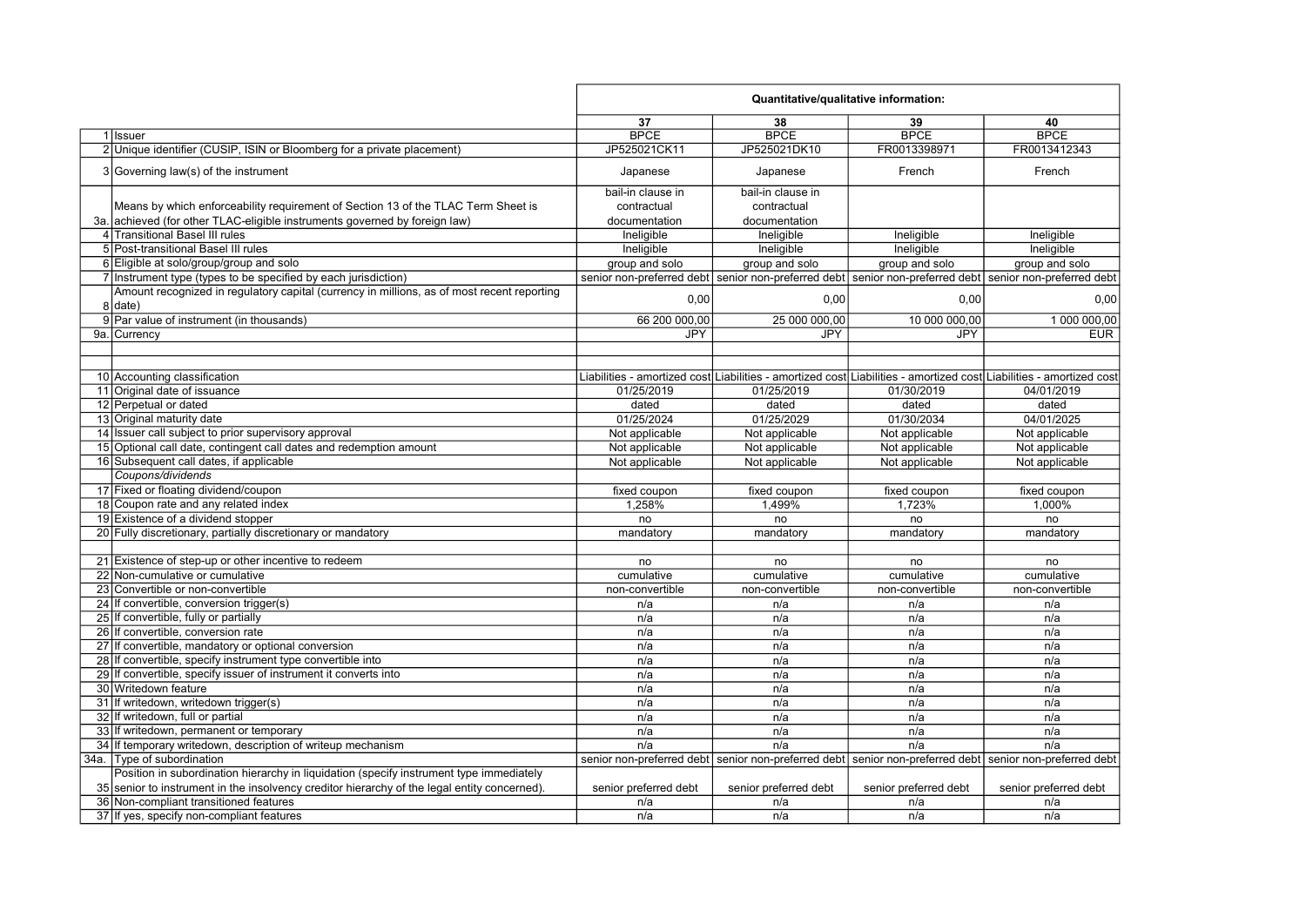|                                                                                                         | Quantitative/qualitative information: |                                                     |                                                                                                                     |                       |
|---------------------------------------------------------------------------------------------------------|---------------------------------------|-----------------------------------------------------|---------------------------------------------------------------------------------------------------------------------|-----------------------|
|                                                                                                         | 37                                    | 38                                                  | 39                                                                                                                  | 40                    |
| 1 Issuer                                                                                                | <b>BPCE</b>                           | <b>BPCE</b>                                         | <b>BPCE</b>                                                                                                         | <b>BPCE</b>           |
| 2 Unique identifier (CUSIP, ISIN or Bloomberg for a private placement)                                  | JP525021CK11                          | JP525021DK10                                        | FR0013398971                                                                                                        | FR0013412343          |
| 3 Governing law(s) of the instrument                                                                    | Japanese                              | Japanese                                            | French                                                                                                              | French                |
|                                                                                                         | bail-in clause in                     | bail-in clause in                                   |                                                                                                                     |                       |
| Means by which enforceability requirement of Section 13 of the TLAC Term Sheet is                       | contractual                           | contractual                                         |                                                                                                                     |                       |
| 3a. achieved (for other TLAC-eligible instruments governed by foreign law)                              | documentation                         | documentation                                       |                                                                                                                     |                       |
| 4 Transitional Basel III rules                                                                          | Ineligible                            | Ineligible                                          | Ineligible                                                                                                          | Ineligible            |
| 5 Post-transitional Basel III rules                                                                     | Ineligible                            | Ineligible                                          | Ineligible                                                                                                          | Ineligible            |
| 6 Eligible at solo/group/group and solo                                                                 | group and solo                        | group and solo                                      | group and solo                                                                                                      | group and solo        |
| 7 Instrument type (types to be specified by each jurisdiction)                                          |                                       | senior non-preferred debt senior non-preferred debt | senior non-preferred debt senior non-preferred debt                                                                 |                       |
| Amount recognized in regulatory capital (currency in millions, as of most recent reporting<br>$8$ date) | 0,00                                  | 0,00                                                | 0,00                                                                                                                | 0,00                  |
| 9 Par value of instrument (in thousands)                                                                | 66 200 000,00                         | 25 000 000,00                                       | 10 000 000,00                                                                                                       | 1 000 000,00          |
| 9a. Currency                                                                                            | JPY                                   | JPY                                                 | <b>JPY</b>                                                                                                          | <b>EUR</b>            |
|                                                                                                         |                                       |                                                     |                                                                                                                     |                       |
|                                                                                                         |                                       |                                                     |                                                                                                                     |                       |
| 10 Accounting classification                                                                            |                                       |                                                     | Liabilities - amortized cost Liabilities - amortized cost Liabilities - amortized cost Liabilities - amortized cost |                       |
| 11 Original date of issuance                                                                            | 01/25/2019                            | 01/25/2019                                          | 01/30/2019                                                                                                          | 04/01/2019            |
| 12 Perpetual or dated                                                                                   | dated                                 | dated                                               | dated                                                                                                               | dated                 |
| 13 Original maturity date                                                                               | 01/25/2024                            | 01/25/2029                                          | 01/30/2034                                                                                                          | 04/01/2025            |
| 14 Issuer call subject to prior supervisory approval                                                    | Not applicable                        | Not applicable                                      | Not applicable                                                                                                      | Not applicable        |
| 15 Optional call date, contingent call dates and redemption amount                                      | Not applicable                        | Not applicable                                      | Not applicable                                                                                                      | Not applicable        |
| 16 Subsequent call dates, if applicable                                                                 | Not applicable                        | Not applicable                                      | Not applicable                                                                                                      | Not applicable        |
| Coupons/dividends                                                                                       |                                       |                                                     |                                                                                                                     |                       |
| 17 Fixed or floating dividend/coupon                                                                    | fixed coupon                          | fixed coupon                                        | fixed coupon                                                                                                        | fixed coupon          |
| 18 Coupon rate and any related index                                                                    | 1,258%                                | 1,499%                                              | 1,723%                                                                                                              | 1,000%                |
| 19 Existence of a dividend stopper                                                                      | no                                    | no                                                  | no                                                                                                                  | no                    |
| 20 Fully discretionary, partially discretionary or mandatory                                            | mandatory                             | mandatory                                           | mandatory                                                                                                           | mandatory             |
|                                                                                                         |                                       |                                                     |                                                                                                                     |                       |
| 21 Existence of step-up or other incentive to redeem                                                    | no                                    | no                                                  | no                                                                                                                  | no                    |
| 22 Non-cumulative or cumulative                                                                         | cumulative                            | cumulative                                          | cumulative                                                                                                          | cumulative            |
| 23 Convertible or non-convertible                                                                       | non-convertible                       | non-convertible                                     | non-convertible                                                                                                     | non-convertible       |
| 24 If convertible, conversion trigger(s)                                                                | n/a                                   | n/a                                                 | n/a                                                                                                                 | n/a                   |
| 25 If convertible, fully or partially                                                                   | n/a                                   | n/a                                                 | n/a                                                                                                                 | n/a                   |
| 26 If convertible, conversion rate                                                                      | n/a                                   | n/a                                                 | n/a                                                                                                                 | n/a                   |
| 27 If convertible, mandatory or optional conversion                                                     | n/a                                   | n/a                                                 | n/a                                                                                                                 | n/a                   |
| 28 If convertible, specify instrument type convertible into                                             | n/a                                   | n/a                                                 | n/a                                                                                                                 | n/a                   |
| 29 If convertible, specify issuer of instrument it converts into                                        | n/a                                   | n/a                                                 | n/a                                                                                                                 | n/a                   |
| 30 Writedown feature                                                                                    | n/a                                   | n/a                                                 | n/a                                                                                                                 | n/a                   |
| 31 If writedown, writedown trigger(s)                                                                   | n/a                                   | n/a                                                 | n/a                                                                                                                 | n/a                   |
| 32 If writedown, full or partial                                                                        | n/a                                   | n/a                                                 | n/a                                                                                                                 | n/a                   |
| 33 If writedown, permanent or temporary                                                                 | n/a                                   | n/a                                                 | n/a                                                                                                                 | n/a                   |
| 34 If temporary writedown, description of writeup mechanism                                             | n/a                                   | n/a                                                 | n/a                                                                                                                 | n/a                   |
| 34a. Type of subordination                                                                              |                                       |                                                     | senior non-preferred debt senior non-preferred debt senior non-preferred debt senior non-preferred debt             |                       |
| Position in subordination hierarchy in liquidation (specify instrument type immediately                 |                                       |                                                     |                                                                                                                     |                       |
| 35 senior to instrument in the insolvency creditor hierarchy of the legal entity concerned).            | senior preferred debt                 | senior preferred debt                               | senior preferred debt                                                                                               | senior preferred debt |
| 36 Non-compliant transitioned features                                                                  | n/a                                   | n/a                                                 | n/a                                                                                                                 | n/a                   |
| 37 If yes, specify non-compliant features                                                               | n/a                                   | n/a                                                 | n/a                                                                                                                 | n/a                   |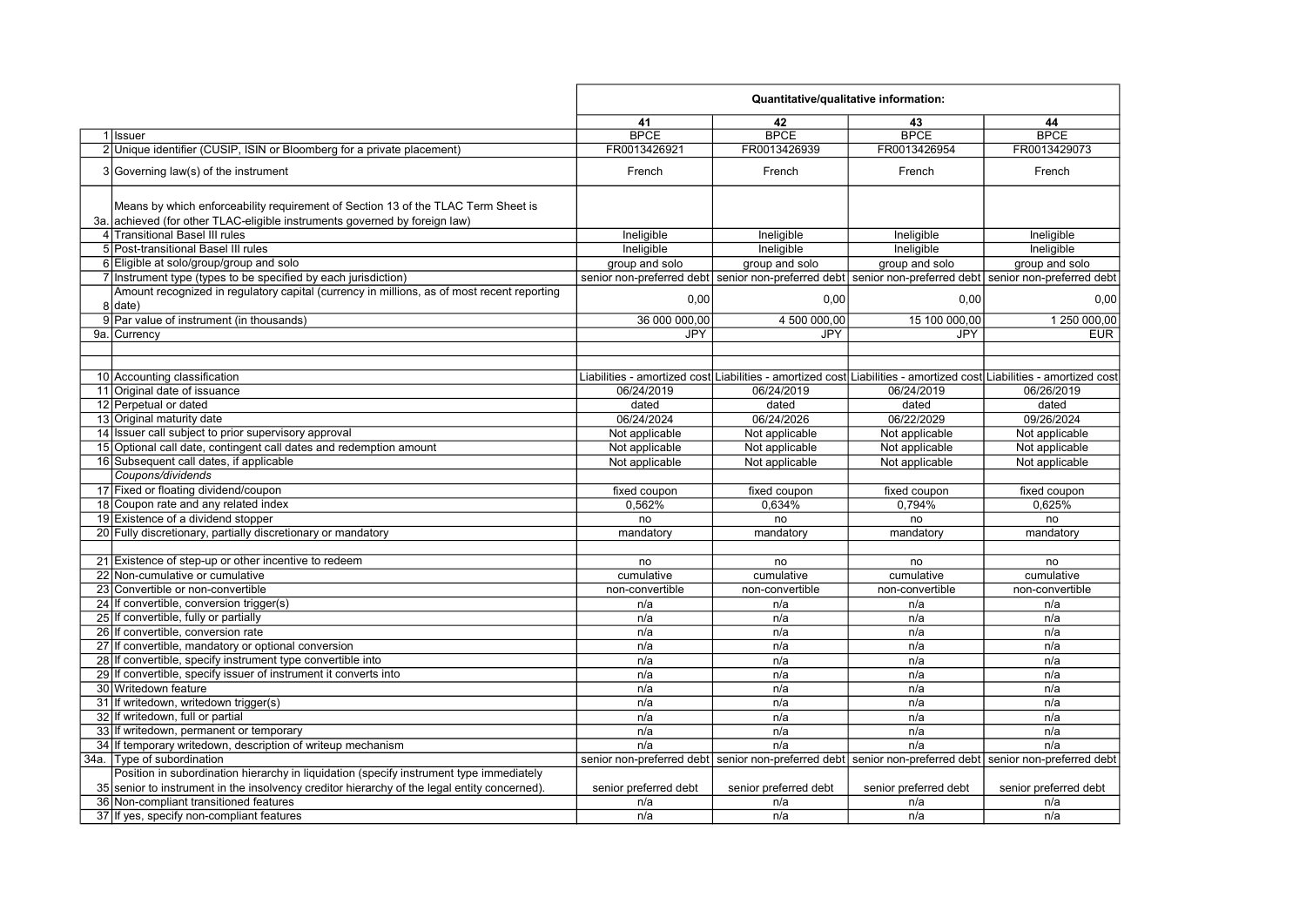|                                                                                                                                                                                         | Quantitative/qualitative information: |                       |                                                                                                         |                                                                                                                     |
|-----------------------------------------------------------------------------------------------------------------------------------------------------------------------------------------|---------------------------------------|-----------------------|---------------------------------------------------------------------------------------------------------|---------------------------------------------------------------------------------------------------------------------|
|                                                                                                                                                                                         | 41                                    | 42                    | 43                                                                                                      | 44                                                                                                                  |
| 1 Issuer                                                                                                                                                                                | <b>BPCE</b>                           | <b>BPCE</b>           | <b>BPCE</b>                                                                                             | <b>BPCE</b>                                                                                                         |
| 2 Unique identifier (CUSIP, ISIN or Bloomberg for a private placement)                                                                                                                  | FR0013426921                          | FR0013426939          | FR0013426954                                                                                            | FR0013429073                                                                                                        |
| 3 Governing law(s) of the instrument                                                                                                                                                    | French                                | French                | French                                                                                                  | French                                                                                                              |
|                                                                                                                                                                                         |                                       |                       |                                                                                                         |                                                                                                                     |
| Means by which enforceability requirement of Section 13 of the TLAC Term Sheet is                                                                                                       |                                       |                       |                                                                                                         |                                                                                                                     |
|                                                                                                                                                                                         |                                       |                       |                                                                                                         |                                                                                                                     |
| 3a. achieved (for other TLAC-eligible instruments governed by foreign law)<br>4 Transitional Basel III rules                                                                            |                                       |                       |                                                                                                         |                                                                                                                     |
| 5 Post-transitional Basel III rules                                                                                                                                                     | Ineligible                            | Ineligible            | Ineligible                                                                                              | Ineligible                                                                                                          |
|                                                                                                                                                                                         | Ineligible                            | Ineligible            | Ineligible                                                                                              | Ineligible                                                                                                          |
| 6 Eligible at solo/group/group and solo                                                                                                                                                 | group and solo                        | group and solo        | group and solo                                                                                          | group and solo                                                                                                      |
| 7 Instrument type (types to be specified by each jurisdiction)                                                                                                                          |                                       |                       |                                                                                                         | senior non-preferred debt senior non-preferred debt senior non-preferred debt senior non-preferred debt             |
| Amount recognized in regulatory capital (currency in millions, as of most recent reporting<br>$8$ date)                                                                                 | 0,00                                  | 0,00                  | 0,00                                                                                                    | 0,00                                                                                                                |
| 9 Par value of instrument (in thousands)                                                                                                                                                | 36 000 000,00                         | 4 500 000,00          | 15 100 000,00                                                                                           | 1 250 000,00                                                                                                        |
| 9a. Currency                                                                                                                                                                            | JPY                                   | JPY                   | <b>JPY</b>                                                                                              | <b>EUR</b>                                                                                                          |
|                                                                                                                                                                                         |                                       |                       |                                                                                                         |                                                                                                                     |
|                                                                                                                                                                                         |                                       |                       |                                                                                                         |                                                                                                                     |
| 10 Accounting classification                                                                                                                                                            |                                       |                       |                                                                                                         | Liabilities - amortized cost Liabilities - amortized cost Liabilities - amortized cost Liabilities - amortized cost |
| 11 Original date of issuance                                                                                                                                                            | 06/24/2019                            | 06/24/2019            | 06/24/2019                                                                                              | 06/26/2019                                                                                                          |
| 12 Perpetual or dated                                                                                                                                                                   | dated                                 | dated                 | dated                                                                                                   | dated                                                                                                               |
| 13 Original maturity date                                                                                                                                                               | 06/24/2024                            | 06/24/2026            | 06/22/2029                                                                                              | 09/26/2024                                                                                                          |
| 14 Issuer call subject to prior supervisory approval                                                                                                                                    | Not applicable                        | Not applicable        | Not applicable                                                                                          | Not applicable                                                                                                      |
| 15 Optional call date, contingent call dates and redemption amount                                                                                                                      | Not applicable                        | Not applicable        | Not applicable                                                                                          | Not applicable                                                                                                      |
| 16 Subsequent call dates, if applicable                                                                                                                                                 | Not applicable                        | Not applicable        | Not applicable                                                                                          | Not applicable                                                                                                      |
| Coupons/dividends                                                                                                                                                                       |                                       |                       |                                                                                                         |                                                                                                                     |
| 17 Fixed or floating dividend/coupon                                                                                                                                                    | fixed coupon                          | fixed coupon          | fixed coupon                                                                                            | fixed coupon                                                                                                        |
| 18 Coupon rate and any related index                                                                                                                                                    | 0,562%                                | 0,634%                | 0,794%                                                                                                  | 0,625%                                                                                                              |
| 19 Existence of a dividend stopper                                                                                                                                                      | no                                    | no                    | no                                                                                                      | no                                                                                                                  |
| 20 Fully discretionary, partially discretionary or mandatory                                                                                                                            | mandatory                             | mandatory             | mandatory                                                                                               | mandatory                                                                                                           |
|                                                                                                                                                                                         |                                       |                       |                                                                                                         |                                                                                                                     |
| 21 Existence of step-up or other incentive to redeem                                                                                                                                    | no                                    | no                    | no                                                                                                      | no                                                                                                                  |
| 22 Non-cumulative or cumulative                                                                                                                                                         | cumulative                            | cumulative            | cumulative                                                                                              | cumulative                                                                                                          |
| 23 Convertible or non-convertible                                                                                                                                                       | non-convertible                       | non-convertible       | non-convertible                                                                                         | non-convertible                                                                                                     |
| 24 If convertible, conversion trigger(s)                                                                                                                                                | n/a                                   | n/a                   | n/a                                                                                                     | n/a                                                                                                                 |
| 25 If convertible, fully or partially                                                                                                                                                   | n/a                                   | n/a                   | n/a                                                                                                     | n/a                                                                                                                 |
| 26 If convertible, conversion rate                                                                                                                                                      | n/a                                   | n/a                   | n/a                                                                                                     | n/a                                                                                                                 |
| 27 If convertible, mandatory or optional conversion                                                                                                                                     | n/a                                   | n/a                   | n/a                                                                                                     | n/a                                                                                                                 |
| 28 If convertible, specify instrument type convertible into                                                                                                                             | n/a                                   | n/a                   | n/a                                                                                                     | n/a                                                                                                                 |
| 29 If convertible, specify issuer of instrument it converts into                                                                                                                        |                                       |                       |                                                                                                         |                                                                                                                     |
| 30 Writedown feature                                                                                                                                                                    | n/a                                   | n/a<br>n/a            | n/a<br>n/a                                                                                              | n/a<br>n/a                                                                                                          |
|                                                                                                                                                                                         | n/a                                   |                       |                                                                                                         |                                                                                                                     |
| 31 If writedown, writedown trigger(s)                                                                                                                                                   | n/a                                   | n/a                   | n/a                                                                                                     | n/a                                                                                                                 |
| 32 If writedown, full or partial                                                                                                                                                        | n/a                                   | n/a                   | n/a                                                                                                     | n/a                                                                                                                 |
| 33 If writedown, permanent or temporary                                                                                                                                                 | n/a                                   | n/a                   | n/a                                                                                                     | n/a                                                                                                                 |
| 34 If temporary writedown, description of writeup mechanism                                                                                                                             | n/a                                   | n/a                   | n/a                                                                                                     | n/a                                                                                                                 |
| 34a. Type of subordination                                                                                                                                                              |                                       |                       | senior non-preferred debt senior non-preferred debt senior non-preferred debt senior non-preferred debt |                                                                                                                     |
| Position in subordination hierarchy in liquidation (specify instrument type immediately<br>35 senior to instrument in the insolvency creditor hierarchy of the legal entity concerned). | senior preferred debt                 | senior preferred debt | senior preferred debt                                                                                   | senior preferred debt                                                                                               |
| 36 Non-compliant transitioned features                                                                                                                                                  | n/a                                   | n/a                   | n/a                                                                                                     | n/a                                                                                                                 |
| 37 If yes, specify non-compliant features                                                                                                                                               | n/a                                   | n/a                   | n/a                                                                                                     | n/a                                                                                                                 |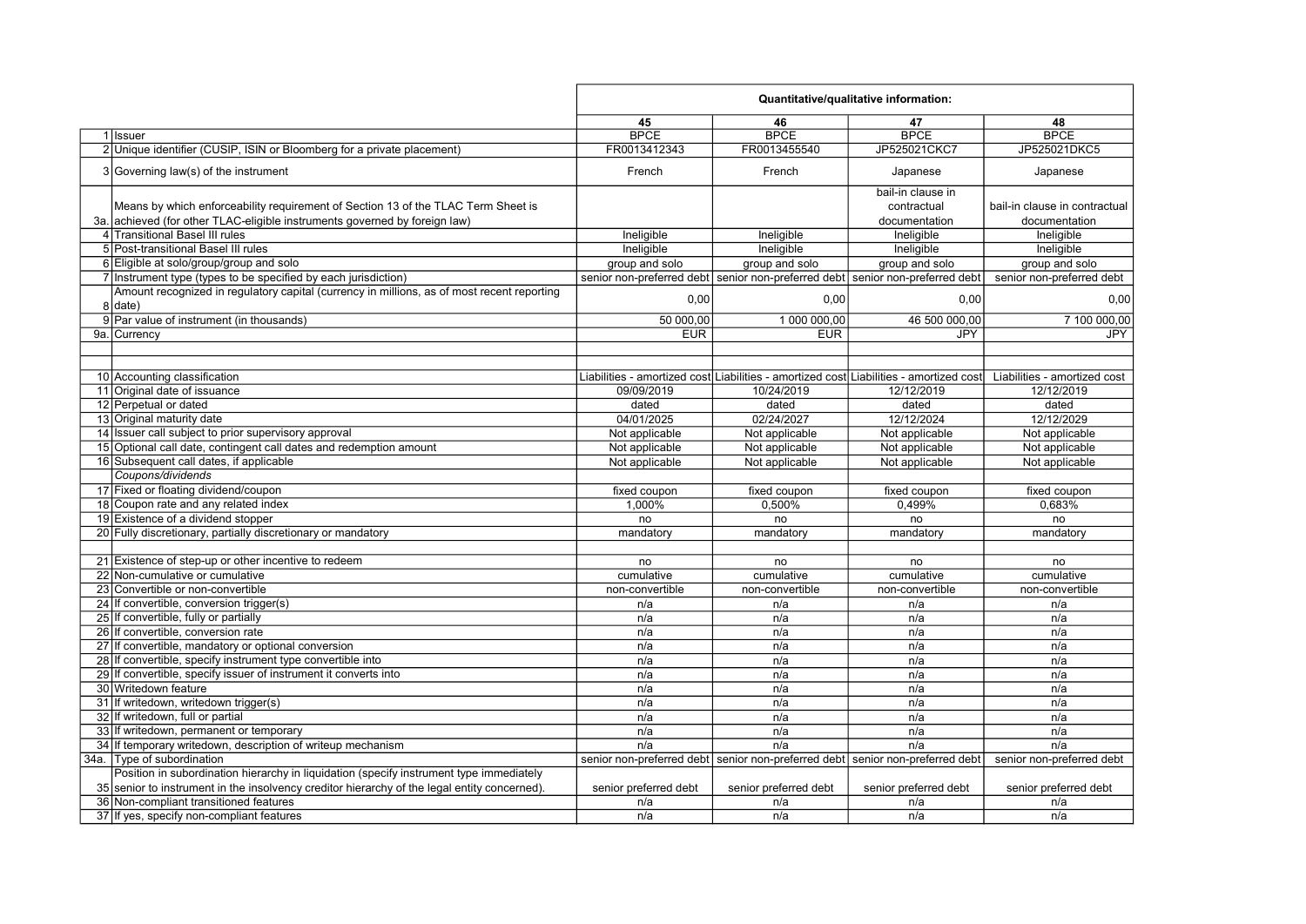|                                                                                                                                                                 | Quantitative/qualitative information: |                                                                                        |                                                   |                                                |
|-----------------------------------------------------------------------------------------------------------------------------------------------------------------|---------------------------------------|----------------------------------------------------------------------------------------|---------------------------------------------------|------------------------------------------------|
|                                                                                                                                                                 | 45                                    | 46                                                                                     | 47                                                | 48                                             |
| 1 Issuer                                                                                                                                                        | <b>BPCE</b>                           | <b>BPCE</b>                                                                            | <b>BPCE</b>                                       | <b>BPCE</b>                                    |
| 2 Unique identifier (CUSIP, ISIN or Bloomberg for a private placement)                                                                                          | FR0013412343                          | FR0013455540                                                                           | JP525021CKC7                                      | JP525021DKC5                                   |
| 3 Governing law(s) of the instrument                                                                                                                            | French                                | French                                                                                 | Japanese                                          | Japanese                                       |
| Means by which enforceability requirement of Section 13 of the TLAC Term Sheet is<br>3a. achieved (for other TLAC-eligible instruments governed by foreign law) |                                       |                                                                                        | bail-in clause in<br>contractual<br>documentation | bail-in clause in contractual<br>documentation |
| 4 Transitional Basel III rules                                                                                                                                  | Ineligible                            | Ineligible                                                                             | Ineligible                                        | Ineligible                                     |
| 5 Post-transitional Basel III rules                                                                                                                             | Ineligible                            | Ineligible                                                                             | Ineligible                                        | Ineligible                                     |
| 6 Eligible at solo/group/group and solo                                                                                                                         | group and solo                        | group and solo                                                                         | group and solo                                    | group and solo                                 |
| 7 Instrument type (types to be specified by each jurisdiction)                                                                                                  |                                       | senior non-preferred debt senior non-preferred debt senior non-preferred debt          |                                                   | senior non-preferred debt                      |
| Amount recognized in regulatory capital (currency in millions, as of most recent reporting<br>8 date)                                                           | 0,00                                  | 0,00                                                                                   | 0,00                                              | 0,00                                           |
| 9 Par value of instrument (in thousands)                                                                                                                        | 50 000,00                             | 1 000 000,00                                                                           | 46 500 000,00                                     | 7 100 000,00                                   |
| 9a. Currency                                                                                                                                                    | <b>EUR</b>                            | <b>EUR</b>                                                                             | JPY                                               | <b>JPY</b>                                     |
|                                                                                                                                                                 |                                       |                                                                                        |                                                   |                                                |
|                                                                                                                                                                 |                                       |                                                                                        |                                                   |                                                |
| 10 Accounting classification                                                                                                                                    |                                       | Liabilities - amortized cost Liabilities - amortized cost Liabilities - amortized cost |                                                   | Liabilities - amortized cost                   |
| 11 Original date of issuance                                                                                                                                    | 09/09/2019                            | 10/24/2019                                                                             | 12/12/2019                                        | 12/12/2019                                     |
| 12 Perpetual or dated                                                                                                                                           | dated                                 | dated                                                                                  | dated                                             | dated                                          |
| 13 Original maturity date                                                                                                                                       | 04/01/2025                            | 02/24/2027                                                                             | 12/12/2024                                        | 12/12/2029                                     |
| 14 Issuer call subject to prior supervisory approval                                                                                                            | Not applicable                        | Not applicable                                                                         | Not applicable                                    | Not applicable                                 |
| 15 Optional call date, contingent call dates and redemption amount                                                                                              | Not applicable                        | Not applicable                                                                         | Not applicable                                    | Not applicable                                 |
| 16 Subsequent call dates, if applicable                                                                                                                         | Not applicable                        | Not applicable                                                                         | Not applicable                                    | Not applicable                                 |
| Coupons/dividends                                                                                                                                               |                                       |                                                                                        |                                                   |                                                |
| 17 Fixed or floating dividend/coupon                                                                                                                            | fixed coupon                          | fixed coupon                                                                           | fixed coupon                                      | fixed coupon                                   |
| 18 Coupon rate and any related index                                                                                                                            | 1.000%                                | 0.500%                                                                                 | 0,499%                                            | 0.683%                                         |
| 19 Existence of a dividend stopper                                                                                                                              | no                                    | no                                                                                     | no                                                | no                                             |
| 20 Fully discretionary, partially discretionary or mandatory                                                                                                    | mandatory                             | mandatory                                                                              | mandatory                                         | mandatory                                      |
|                                                                                                                                                                 |                                       |                                                                                        |                                                   |                                                |
| 21 Existence of step-up or other incentive to redeem                                                                                                            | no                                    | no                                                                                     | no                                                | no                                             |
| 22 Non-cumulative or cumulative                                                                                                                                 | cumulative                            | cumulative                                                                             | cumulative                                        | cumulative                                     |
| 23 Convertible or non-convertible                                                                                                                               | non-convertible                       | non-convertible                                                                        | non-convertible                                   | non-convertible                                |
| 24 If convertible, conversion trigger(s)                                                                                                                        | n/a                                   | n/a                                                                                    | n/a                                               | n/a                                            |
| 25 If convertible, fully or partially                                                                                                                           | n/a                                   | n/a                                                                                    | n/a                                               | n/a                                            |
| 26 If convertible, conversion rate                                                                                                                              | n/a                                   | n/a                                                                                    | n/a                                               | n/a                                            |
| 27 If convertible, mandatory or optional conversion                                                                                                             | n/a                                   | n/a                                                                                    | n/a                                               | n/a                                            |
| 28 If convertible, specify instrument type convertible into                                                                                                     | n/a                                   | n/a                                                                                    | n/a                                               | n/a                                            |
| 29 If convertible, specify issuer of instrument it converts into                                                                                                | n/a                                   | n/a                                                                                    | n/a                                               | n/a                                            |
| 30 Writedown feature                                                                                                                                            | n/a                                   | n/a                                                                                    | n/a                                               | n/a                                            |
| 31 If writedown, writedown trigger(s)                                                                                                                           | n/a                                   | n/a                                                                                    | n/a                                               | n/a                                            |
| 32 If writedown, full or partial                                                                                                                                | n/a                                   | n/a                                                                                    | n/a                                               | n/a                                            |
| 33 If writedown, permanent or temporary                                                                                                                         | n/a                                   | n/a                                                                                    | n/a                                               | n/a                                            |
| 34 If temporary writedown, description of writeup mechanism                                                                                                     | n/a                                   | n/a                                                                                    | n/a                                               | n/a                                            |
| 34a. Type of subordination                                                                                                                                      |                                       | senior non-preferred debt senior non-preferred debt senior non-preferred debt          |                                                   | senior non-preferred debt                      |
| Position in subordination hierarchy in liquidation (specify instrument type immediately                                                                         |                                       |                                                                                        |                                                   |                                                |
| 35 senior to instrument in the insolvency creditor hierarchy of the legal entity concerned).                                                                    | senior preferred debt                 | senior preferred debt                                                                  | senior preferred debt                             | senior preferred debt                          |
| 36 Non-compliant transitioned features                                                                                                                          | n/a                                   | n/a                                                                                    | n/a                                               | n/a                                            |
| 37 If yes, specify non-compliant features                                                                                                                       | n/a                                   | n/a                                                                                    | n/a                                               | n/a                                            |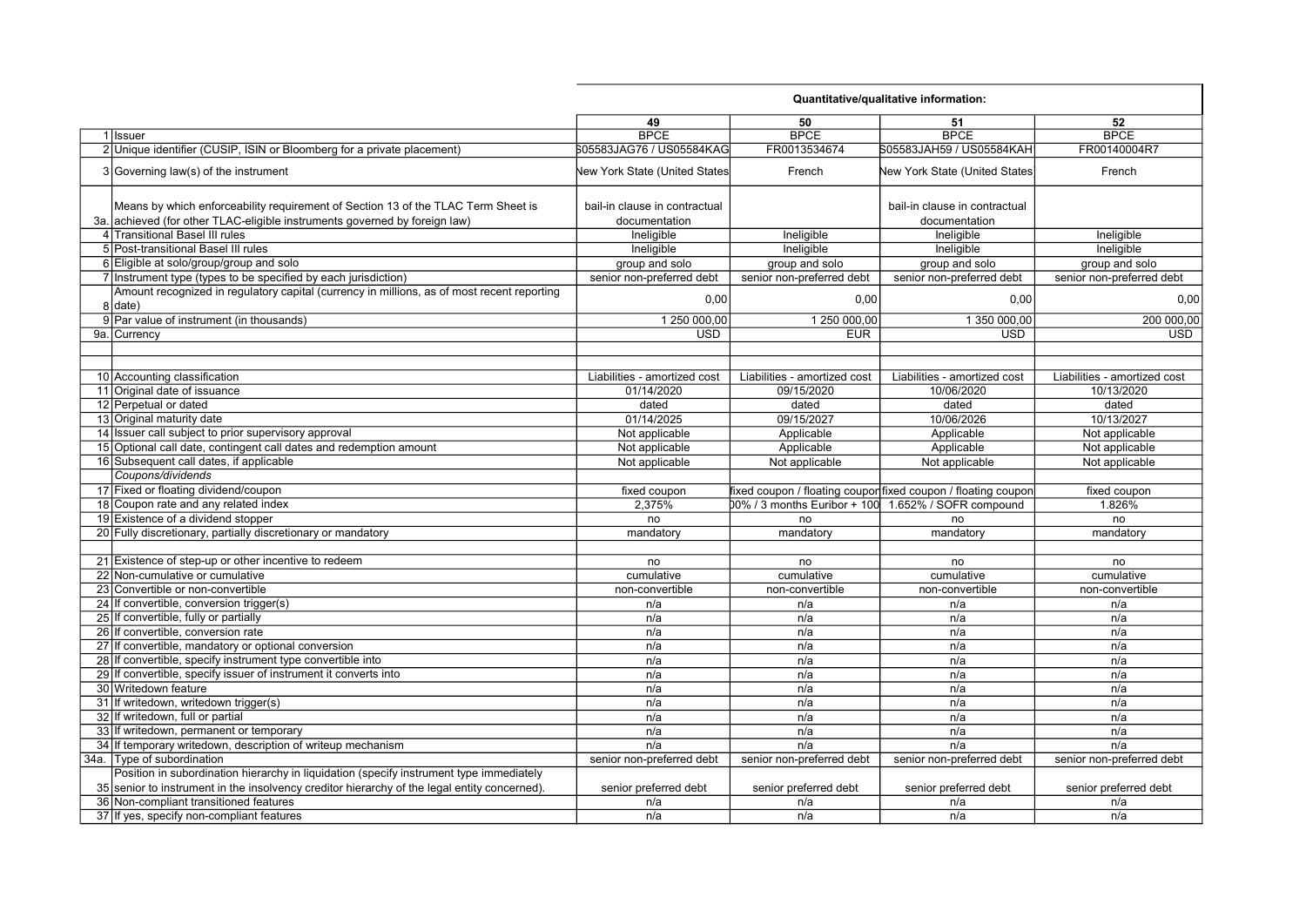|     |                                                                                                                                                             | Quantitative/qualitative information:          |                              |                                                               |                              |
|-----|-------------------------------------------------------------------------------------------------------------------------------------------------------------|------------------------------------------------|------------------------------|---------------------------------------------------------------|------------------------------|
|     |                                                                                                                                                             | 49                                             | 50                           | 51                                                            | 52                           |
|     | 1 Issuer                                                                                                                                                    | <b>BPCE</b>                                    | <b>BPCE</b>                  | <b>BPCE</b>                                                   | <b>BPCE</b>                  |
|     | 2 Unique identifier (CUSIP, ISIN or Bloomberg for a private placement)                                                                                      | 605583JAG76 / US05584KAG                       | FR0013534674                 | 505583JAH59 / US05584KAH                                      | FR00140004R7                 |
|     | 3 Governing law(s) of the instrument                                                                                                                        | New York State (United States                  | French                       | New York State (United States)                                | French                       |
|     | Means by which enforceability requirement of Section 13 of the TLAC Term Sheet is<br>achieved (for other TLAC-eligible instruments governed by foreign law) | bail-in clause in contractual<br>documentation |                              | bail-in clause in contractual<br>documentation                |                              |
| За. | 4 Transitional Basel III rules                                                                                                                              |                                                | Ineligible                   |                                                               |                              |
|     | 5 Post-transitional Basel III rules                                                                                                                         | Ineligible                                     |                              | Ineligible                                                    | Ineligible                   |
|     |                                                                                                                                                             | Ineligible                                     | Ineligible                   | Ineligible                                                    | Ineligible                   |
|     | 6 Eligible at solo/group/group and solo                                                                                                                     | group and solo                                 | group and solo               | group and solo                                                | group and solo               |
|     | 7 Instrument type (types to be specified by each jurisdiction)                                                                                              | senior non-preferred debt                      | senior non-preferred debt    | senior non-preferred debt                                     | senior non-preferred debt    |
|     | Amount recognized in regulatory capital (currency in millions, as of most recent reporting<br>8   date                                                      | 0,00                                           | 0,00                         | 0,00                                                          | 0,00                         |
|     | 9 Par value of instrument (in thousands)                                                                                                                    | 1 250 000,00                                   | 1 250 000,00                 | 1 350 000,00                                                  | 200 000,00                   |
|     | 9a. Currency                                                                                                                                                | <b>USD</b>                                     | <b>EUR</b>                   | USD                                                           | <b>USD</b>                   |
|     |                                                                                                                                                             |                                                |                              |                                                               |                              |
|     |                                                                                                                                                             |                                                |                              |                                                               |                              |
|     | 10 Accounting classification                                                                                                                                | Liabilities - amortized cost                   | Liabilities - amortized cost | Liabilities - amortized cost                                  | Liabilities - amortized cost |
|     | 11 Original date of issuance                                                                                                                                | 01/14/2020                                     | 09/15/2020                   | 10/06/2020                                                    | 10/13/2020                   |
|     | 12 Perpetual or dated                                                                                                                                       | dated                                          | dated                        | dated                                                         | dated                        |
|     | 13 Original maturity date                                                                                                                                   | 01/14/2025                                     | 09/15/2027                   | 10/06/2026                                                    | 10/13/2027                   |
|     | 14 Issuer call subject to prior supervisory approval                                                                                                        | Not applicable                                 | Applicable                   | Applicable                                                    | Not applicable               |
|     | 15 Optional call date, contingent call dates and redemption amount                                                                                          | Not applicable                                 | Applicable                   | Applicable                                                    | Not applicable               |
|     | 16 Subsequent call dates, if applicable                                                                                                                     | Not applicable                                 | Not applicable               | Not applicable                                                | Not applicable               |
|     | Coupons/dividends                                                                                                                                           |                                                |                              |                                                               |                              |
|     | 17 Fixed or floating dividend/coupon                                                                                                                        | fixed coupon                                   |                              | fixed coupon / floating coupor fixed coupon / floating coupon | fixed coupon                 |
|     | 18 Coupon rate and any related index                                                                                                                        | 2,375%                                         |                              | 00% / 3 months Euribor + 100 1.652% / SOFR compound           | 1.826%                       |
|     | 19 Existence of a dividend stopper                                                                                                                          | no                                             | no                           | no                                                            | no                           |
|     | 20 Fully discretionary, partially discretionary or mandatory                                                                                                | mandatory                                      | mandatory                    | mandatory                                                     | mandatory                    |
|     |                                                                                                                                                             |                                                |                              |                                                               |                              |
|     | 21 Existence of step-up or other incentive to redeem                                                                                                        | no                                             | no                           | no                                                            | no                           |
|     | 22 Non-cumulative or cumulative                                                                                                                             | cumulative                                     | cumulative                   | cumulative                                                    | cumulative                   |
|     | 23 Convertible or non-convertible                                                                                                                           | non-convertible                                | non-convertible              | non-convertible                                               | non-convertible              |
|     | 24 If convertible, conversion trigger(s)                                                                                                                    | n/a                                            | n/a                          | n/a                                                           | n/a                          |
|     | 25 If convertible, fully or partially                                                                                                                       | n/a                                            | n/a                          | n/a                                                           | n/a                          |
|     | 26 If convertible, conversion rate                                                                                                                          | n/a                                            | n/a                          | n/a                                                           | n/a                          |
|     | 27 If convertible, mandatory or optional conversion                                                                                                         | n/a                                            | n/a                          | n/a                                                           | n/a                          |
|     | 28 If convertible, specify instrument type convertible into                                                                                                 | n/a                                            | n/a                          | n/a                                                           | n/a                          |
|     | 29 If convertible, specify issuer of instrument it converts into                                                                                            | n/a                                            | n/a                          | n/a                                                           | n/a                          |
|     | 30 Writedown feature                                                                                                                                        | n/a                                            | n/a                          | n/a                                                           | n/a                          |
|     | 31 If writedown, writedown trigger(s)                                                                                                                       | n/a                                            | n/a                          | n/a                                                           | n/a                          |
|     | 32 If writedown, full or partial                                                                                                                            | n/a                                            | n/a                          | n/a                                                           | n/a                          |
|     | 33 If writedown, permanent or temporary                                                                                                                     | n/a                                            | n/a                          | n/a                                                           | n/a                          |
|     | 34 If temporary writedown, description of writeup mechanism                                                                                                 | n/a                                            | n/a                          | n/a                                                           | n/a                          |
|     | 34a. Type of subordination                                                                                                                                  | senior non-preferred debt                      | senior non-preferred debt    | senior non-preferred debt                                     | senior non-preferred debt    |
|     | Position in subordination hierarchy in liquidation (specify instrument type immediately                                                                     |                                                |                              |                                                               |                              |
|     | 35 senior to instrument in the insolvency creditor hierarchy of the legal entity concerned).                                                                | senior preferred debt                          | senior preferred debt        | senior preferred debt                                         | senior preferred debt        |
|     | 36 Non-compliant transitioned features                                                                                                                      | n/a                                            | n/a                          | n/a                                                           | n/a                          |
|     | 37 If yes, specify non-compliant features                                                                                                                   | n/a                                            | n/a                          | n/a                                                           | n/a                          |